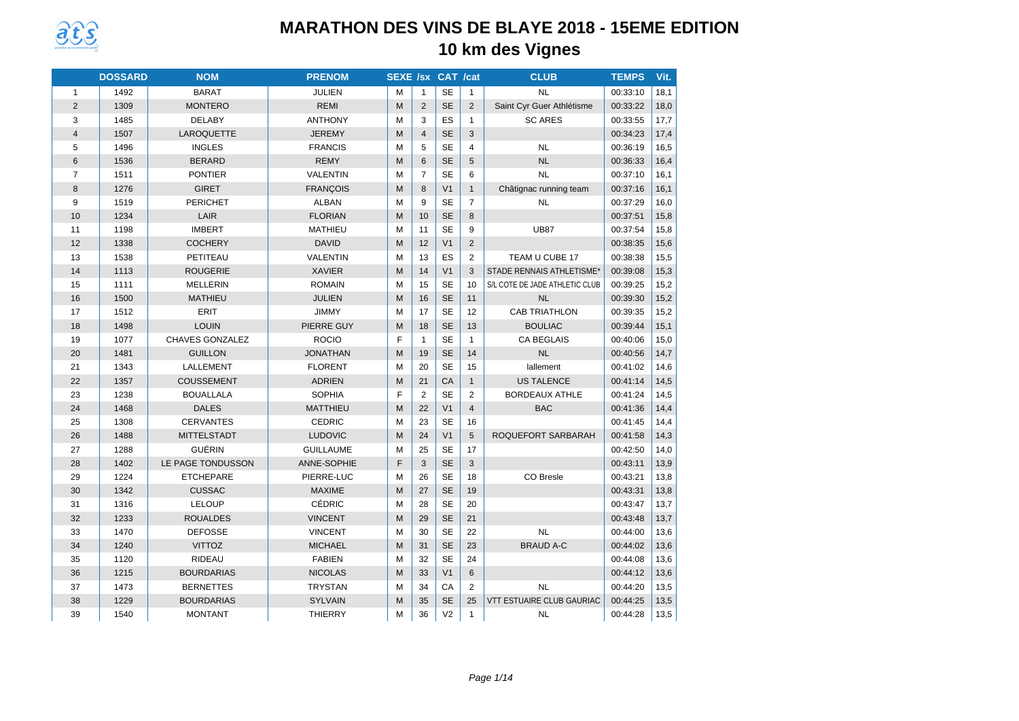

|                | <b>DOSSARD</b> | <b>NOM</b>             | <b>PRENOM</b>    | <b>SEXE /sx CAT /cat</b> |                |                |                | <b>CLUB</b>                      | <b>TEMPS</b> | Vit. |
|----------------|----------------|------------------------|------------------|--------------------------|----------------|----------------|----------------|----------------------------------|--------------|------|
| $\mathbf{1}$   | 1492           | <b>BARAT</b>           | <b>JULIEN</b>    | M                        | $\mathbf{1}$   | <b>SE</b>      | $\mathbf{1}$   | <b>NL</b>                        | 00:33:10     | 18,1 |
| $\overline{2}$ | 1309           | <b>MONTERO</b>         | <b>REMI</b>      | M                        | 2              | SE             | 2              | Saint Cyr Guer Athlétisme        | 00:33:22     | 18,0 |
| 3              | 1485           | <b>DELABY</b>          | <b>ANTHONY</b>   | M                        | 3              | ES             | $\mathbf{1}$   | <b>SC ARES</b>                   | 00:33:55     | 17,7 |
| $\overline{4}$ | 1507           | LAROQUETTE             | <b>JEREMY</b>    | M                        | $\overline{4}$ | <b>SE</b>      | 3              |                                  | 00:34:23     | 17,4 |
| 5              | 1496           | <b>INGLES</b>          | <b>FRANCIS</b>   | M                        | 5              | <b>SE</b>      | $\overline{4}$ | <b>NL</b>                        | 00:36:19     | 16,5 |
| 6              | 1536           | <b>BERARD</b>          | <b>REMY</b>      | M                        | 6              | <b>SE</b>      | 5              | <b>NL</b>                        | 00:36:33     | 16,4 |
| $\overline{7}$ | 1511           | <b>PONTIER</b>         | <b>VALENTIN</b>  | M                        | $\overline{7}$ | <b>SE</b>      | 6              | <b>NL</b>                        | 00:37:10     | 16,1 |
| 8              | 1276           | <b>GIRET</b>           | <b>FRANÇOIS</b>  | M                        | 8              | V <sub>1</sub> | $\mathbf{1}$   | Châtignac running team           | 00:37:16     | 16,1 |
| 9              | 1519           | <b>PERICHET</b>        | <b>ALBAN</b>     | M                        | 9              | <b>SE</b>      | $\overline{7}$ | <b>NL</b>                        | 00:37:29     | 16,0 |
| 10             | 1234           | LAIR                   | <b>FLORIAN</b>   | M                        | 10             | <b>SE</b>      | 8              |                                  | 00:37:51     | 15,8 |
| 11             | 1198           | <b>IMBERT</b>          | <b>MATHIEU</b>   | M                        | 11             | <b>SE</b>      | 9              | <b>UB87</b>                      | 00:37:54     | 15,8 |
| 12             | 1338           | <b>COCHERY</b>         | <b>DAVID</b>     | M                        | 12             | V <sub>1</sub> | 2              |                                  | 00:38:35     | 15,6 |
| 13             | 1538           | PETITEAU               | <b>VALENTIN</b>  | M                        | 13             | ES             | $\mathbf{2}$   | TEAM U CUBE 17                   | 00:38:38     | 15,5 |
| 14             | 1113           | <b>ROUGERIE</b>        | <b>XAVIER</b>    | M                        | 14             | V <sub>1</sub> | 3              | STADE RENNAIS ATHLETISME*        | 00:39:08     | 15,3 |
| 15             | 1111           | <b>MELLERIN</b>        | <b>ROMAIN</b>    | M                        | 15             | <b>SE</b>      | 10             | S/L COTE DE JADE ATHLETIC CLUB   | 00:39:25     | 15,2 |
| 16             | 1500           | <b>MATHIEU</b>         | <b>JULIEN</b>    | M                        | 16             | <b>SE</b>      | 11             | <b>NL</b>                        | 00:39:30     | 15,2 |
| 17             | 1512           | <b>ERIT</b>            | <b>JIMMY</b>     | M                        | 17             | <b>SE</b>      | 12             | <b>CAB TRIATHLON</b>             | 00:39:35     | 15,2 |
| 18             | 1498           | <b>LOUIN</b>           | PIERRE GUY       | M                        | 18             | <b>SE</b>      | 13             | <b>BOULIAC</b>                   | 00:39:44     | 15,1 |
| 19             | 1077           | <b>CHAVES GONZALEZ</b> | <b>ROCIO</b>     | E                        | $\mathbf{1}$   | <b>SE</b>      | $\mathbf{1}$   | <b>CA BEGLAIS</b>                | 00:40:06     | 15,0 |
| 20             | 1481           | <b>GUILLON</b>         | <b>JONATHAN</b>  | M                        | 19             | <b>SE</b>      | 14             | <b>NL</b>                        | 00:40:56     | 14,7 |
| 21             | 1343           | LALLEMENT              | <b>FLORENT</b>   | M                        | 20             | <b>SE</b>      | 15             | lallement                        | 00:41:02     | 14,6 |
| 22             | 1357           | <b>COUSSEMENT</b>      | <b>ADRIEN</b>    | M                        | 21             | CA             | $\mathbf{1}$   | <b>US TALENCE</b>                | 00:41:14     | 14,5 |
| 23             | 1238           | <b>BOUALLALA</b>       | <b>SOPHIA</b>    | F                        | 2              | <b>SE</b>      | $\overline{2}$ | <b>BORDEAUX ATHLE</b>            | 00:41:24     | 14,5 |
| 24             | 1468           | <b>DALES</b>           | <b>MATTHIEU</b>  | M                        | 22             | V <sub>1</sub> | $\overline{4}$ | <b>BAC</b>                       | 00:41:36     | 14,4 |
| 25             | 1308           | <b>CERVANTES</b>       | <b>CEDRIC</b>    | M                        | 23             | <b>SE</b>      | 16             |                                  | 00:41:45     | 14,4 |
| 26             | 1488           | <b>MITTELSTADT</b>     | <b>LUDOVIC</b>   | M                        | 24             | V <sub>1</sub> | 5              | ROQUEFORT SARBARAH               | 00:41:58     | 14,3 |
| 27             | 1288           | GUÉRIN                 | <b>GUILLAUME</b> | М                        | 25             | <b>SE</b>      | 17             |                                  | 00:42:50     | 14,0 |
| 28             | 1402           | LE PAGE TONDUSSON      | ANNE-SOPHIE      | F                        | 3              | <b>SE</b>      | 3              |                                  | 00:43:11     | 13,9 |
| 29             | 1224           | <b>ETCHEPARE</b>       | PIERRE-LUC       | M                        | 26             | <b>SE</b>      | 18             | CO Bresle                        | 00:43:21     | 13,8 |
| 30             | 1342           | <b>CUSSAC</b>          | <b>MAXIME</b>    | M                        | 27             | <b>SE</b>      | 19             |                                  | 00:43:31     | 13,8 |
| 31             | 1316           | <b>LELOUP</b>          | <b>CÉDRIC</b>    | M                        | 28             | <b>SE</b>      | 20             |                                  | 00:43:47     | 13,7 |
| 32             | 1233           | <b>ROUALDES</b>        | <b>VINCENT</b>   | M                        | 29             | <b>SE</b>      | 21             |                                  | 00:43:48     | 13,7 |
| 33             | 1470           | <b>DEFOSSE</b>         | <b>VINCENT</b>   | M                        | 30             | <b>SE</b>      | 22             | <b>NL</b>                        | 00:44:00     | 13,6 |
| 34             | 1240           | <b>VITTOZ</b>          | <b>MICHAEL</b>   | M                        | 31             | <b>SE</b>      | 23             | <b>BRAUD A-C</b>                 | 00:44:02     | 13,6 |
| 35             | 1120           | <b>RIDEAU</b>          | <b>FABIEN</b>    | М                        | 32             | <b>SE</b>      | 24             |                                  | 00:44:08     | 13,6 |
| 36             | 1215           | <b>BOURDARIAS</b>      | <b>NICOLAS</b>   | M                        | 33             | V <sub>1</sub> | 6              |                                  | 00:44:12     | 13,6 |
| 37             | 1473           | <b>BERNETTES</b>       | <b>TRYSTAN</b>   | M                        | 34             | CA             | 2              | <b>NL</b>                        | 00:44:20     | 13,5 |
| 38             | 1229           | <b>BOURDARIAS</b>      | <b>SYLVAIN</b>   | M                        | 35             | <b>SE</b>      | 25             | <b>VTT ESTUAIRE CLUB GAURIAC</b> | 00:44:25     | 13,5 |
| 39             | 1540           | <b>MONTANT</b>         | <b>THIERRY</b>   | М                        | 36             | V <sub>2</sub> | $\mathbf{1}$   | <b>NL</b>                        | 00:44:28     | 13,5 |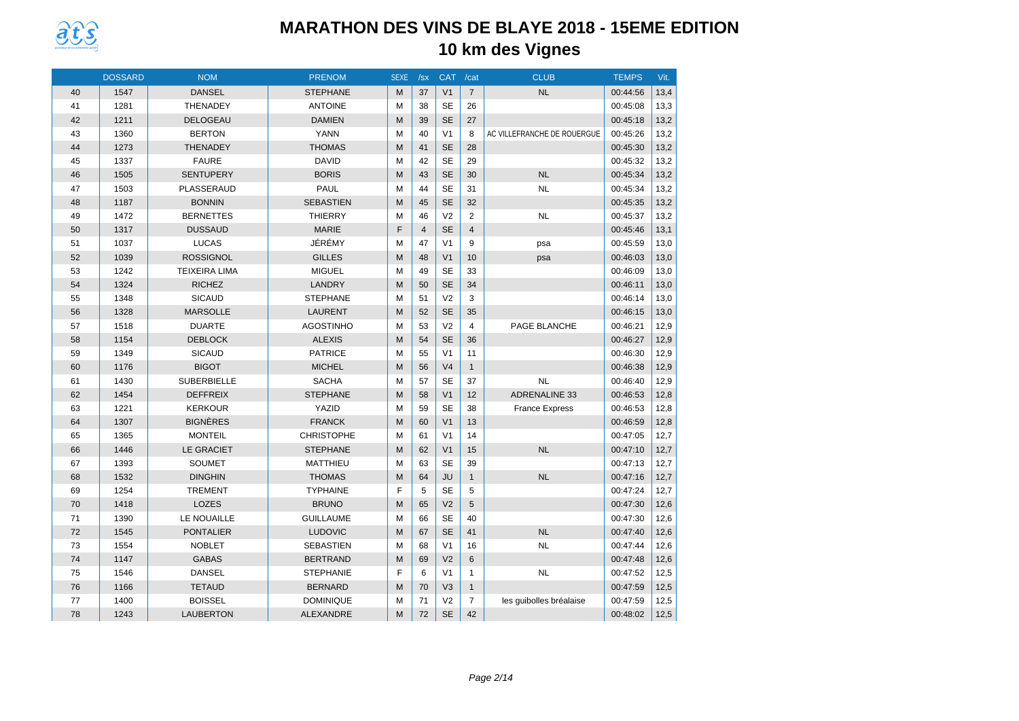

|    | <b>DOSSARD</b> | <b>NOM</b>           | <b>PRENOM</b>     | <b>SEXE</b> | /sx            | <b>CAT</b>     | /cat           | <b>CLUB</b>                 | <b>TEMPS</b> | Vit. |
|----|----------------|----------------------|-------------------|-------------|----------------|----------------|----------------|-----------------------------|--------------|------|
| 40 | 1547           | <b>DANSEL</b>        | <b>STEPHANE</b>   | M           | 37             | V <sub>1</sub> | $\overline{7}$ | <b>NL</b>                   | 00:44:56     | 13,4 |
| 41 | 1281           | <b>THENADEY</b>      | <b>ANTOINE</b>    | M           | 38             | <b>SE</b>      | 26             |                             | 00:45:08     | 13,3 |
| 42 | 1211           | <b>DELOGEAU</b>      | <b>DAMIEN</b>     | M           | 39             | <b>SE</b>      | 27             |                             | 00:45:18     | 13,2 |
| 43 | 1360           | <b>BERTON</b>        | <b>YANN</b>       | M           | 40             | V <sub>1</sub> | 8              | AC VILLEFRANCHE DE ROUERGUE | 00:45:26     | 13,2 |
| 44 | 1273           | <b>THENADEY</b>      | <b>THOMAS</b>     | M           | 41             | <b>SE</b>      | 28             |                             | 00:45:30     | 13,2 |
| 45 | 1337           | <b>FAURE</b>         | <b>DAVID</b>      | M           | 42             | <b>SE</b>      | 29             |                             | 00:45:32     | 13,2 |
| 46 | 1505           | <b>SENTUPERY</b>     | <b>BORIS</b>      | M           | 43             | <b>SE</b>      | 30             | <b>NL</b>                   | 00:45:34     | 13,2 |
| 47 | 1503           | PLASSERAUD           | PAUL              | M           | 44             | <b>SE</b>      | 31             | <b>NL</b>                   | 00:45:34     | 13,2 |
| 48 | 1187           | <b>BONNIN</b>        | <b>SEBASTIEN</b>  | M           | 45             | <b>SE</b>      | 32             |                             | 00:45:35     | 13,2 |
| 49 | 1472           | <b>BERNETTES</b>     | <b>THIERRY</b>    | M           | 46             | V <sub>2</sub> | $\overline{2}$ | <b>NL</b>                   | 00:45:37     | 13,2 |
| 50 | 1317           | <b>DUSSAUD</b>       | <b>MARIE</b>      | F           | $\overline{4}$ | <b>SE</b>      | $\overline{4}$ |                             | 00:45:46     | 13,1 |
| 51 | 1037           | <b>LUCAS</b>         | JÉRÉMY            | M           | 47             | V <sub>1</sub> | 9              | psa                         | 00:45:59     | 13,0 |
| 52 | 1039           | <b>ROSSIGNOL</b>     | <b>GILLES</b>     | M           | 48             | V <sub>1</sub> | 10             | psa                         | 00:46:03     | 13,0 |
| 53 | 1242           | <b>TEIXEIRA LIMA</b> | <b>MIGUEL</b>     | M           | 49             | <b>SE</b>      | 33             |                             | 00:46:09     | 13,0 |
| 54 | 1324           | <b>RICHEZ</b>        | LANDRY            | M           | 50             | <b>SE</b>      | 34             |                             | 00:46:11     | 13,0 |
| 55 | 1348           | <b>SICAUD</b>        | <b>STEPHANE</b>   | M           | 51             | V <sub>2</sub> | 3              |                             | 00:46:14     | 13,0 |
| 56 | 1328           | <b>MARSOLLE</b>      | <b>LAURENT</b>    | M           | 52             | <b>SE</b>      | 35             |                             | 00:46:15     | 13,0 |
| 57 | 1518           | <b>DUARTE</b>        | <b>AGOSTINHO</b>  | M           | 53             | V <sub>2</sub> | $\overline{4}$ | PAGE BLANCHE                | 00:46:21     | 12,9 |
| 58 | 1154           | <b>DEBLOCK</b>       | <b>ALEXIS</b>     | M           | 54             | <b>SE</b>      | 36             |                             | 00:46:27     | 12,9 |
| 59 | 1349           | <b>SICAUD</b>        | <b>PATRICE</b>    | M           | 55             | V <sub>1</sub> | 11             |                             | 00:46:30     | 12,9 |
| 60 | 1176           | <b>BIGOT</b>         | <b>MICHEL</b>     | M           | 56             | V <sub>4</sub> | $\mathbf{1}$   |                             | 00:46:38     | 12,9 |
| 61 | 1430           | <b>SUBERBIELLE</b>   | <b>SACHA</b>      | M           | 57             | <b>SE</b>      | 37             | <b>NL</b>                   | 00:46:40     | 12,9 |
| 62 | 1454           | <b>DEFFREIX</b>      | <b>STEPHANE</b>   | M           | 58             | V <sub>1</sub> | 12             | <b>ADRENALINE 33</b>        | 00:46:53     | 12,8 |
| 63 | 1221           | <b>KERKOUR</b>       | YAZID             | M           | 59             | <b>SE</b>      | 38             | <b>France Express</b>       | 00:46:53     | 12,8 |
| 64 | 1307           | <b>BIGNÈRES</b>      | <b>FRANCK</b>     | M           | 60             | V <sub>1</sub> | 13             |                             | 00:46:59     | 12,8 |
| 65 | 1365           | <b>MONTEIL</b>       | <b>CHRISTOPHE</b> | M           | 61             | V <sub>1</sub> | 14             |                             | 00:47:05     | 12,7 |
| 66 | 1446           | <b>LE GRACIET</b>    | <b>STEPHANE</b>   | M           | 62             | V <sub>1</sub> | 15             | <b>NL</b>                   | 00:47:10     | 12,7 |
| 67 | 1393           | <b>SOUMET</b>        | <b>MATTHIEU</b>   | M           | 63             | <b>SE</b>      | 39             |                             | 00:47:13     | 12,7 |
| 68 | 1532           | <b>DINGHIN</b>       | <b>THOMAS</b>     | M           | 64             | <b>JU</b>      | $\mathbf{1}$   | <b>NL</b>                   | 00:47:16     | 12,7 |
| 69 | 1254           | <b>TREMENT</b>       | <b>TYPHAINE</b>   | F           | 5              | <b>SE</b>      | 5              |                             | 00:47:24     | 12,7 |
| 70 | 1418           | <b>LOZES</b>         | <b>BRUNO</b>      | M           | 65             | V <sub>2</sub> | 5              |                             | 00:47:30     | 12,6 |
| 71 | 1390           | LE NOUAILLE          | <b>GUILLAUME</b>  | M           | 66             | <b>SE</b>      | 40             |                             | 00:47:30     | 12,6 |
| 72 | 1545           | <b>PONTALIER</b>     | <b>LUDOVIC</b>    | M           | 67             | <b>SE</b>      | 41             | <b>NL</b>                   | 00:47:40     | 12,6 |
| 73 | 1554           | <b>NOBLET</b>        | <b>SEBASTIEN</b>  | M           | 68             | V <sub>1</sub> | 16             | <b>NL</b>                   | 00:47:44     | 12,6 |
| 74 | 1147           | <b>GABAS</b>         | <b>BERTRAND</b>   | M           | 69             | V <sub>2</sub> | 6              |                             | 00:47:48     | 12,6 |
| 75 | 1546           | <b>DANSEL</b>        | <b>STEPHANIE</b>  | F           | 6              | V <sub>1</sub> | 1              | <b>NL</b>                   | 00:47:52     | 12,5 |
| 76 | 1166           | <b>TETAUD</b>        | <b>BERNARD</b>    | M           | 70             | V <sub>3</sub> | $\mathbf{1}$   |                             | 00:47:59     | 12,5 |
| 77 | 1400           | <b>BOISSEL</b>       | <b>DOMINIQUE</b>  | M           | 71             | V <sub>2</sub> | $\overline{7}$ | les guibolles bréalaise     | 00:47:59     | 12,5 |
| 78 | 1243           | <b>LAUBERTON</b>     | <b>ALEXANDRE</b>  | M           | 72             | <b>SE</b>      | 42             |                             | 00:48:02     | 12,5 |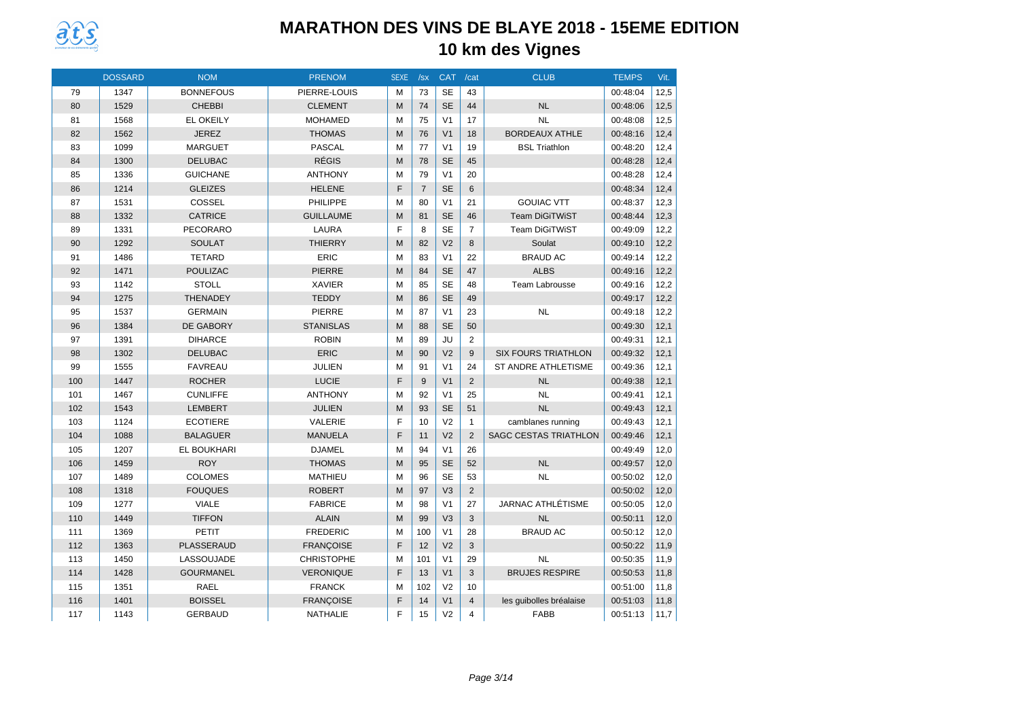

|     | <b>DOSSARD</b> | <b>NOM</b>        | <b>PRENOM</b>     | <b>SEXE</b> | /sx            | <b>CAT</b>     | /cat           | <b>CLUB</b>                  | <b>TEMPS</b> | Vit. |
|-----|----------------|-------------------|-------------------|-------------|----------------|----------------|----------------|------------------------------|--------------|------|
| 79  | 1347           | <b>BONNEFOUS</b>  | PIERRE-LOUIS      | м           | 73             | <b>SE</b>      | 43             |                              | 00:48:04     | 12,5 |
| 80  | 1529           | <b>CHEBBI</b>     | <b>CLEMENT</b>    | M           | 74             | <b>SE</b>      | 44             | <b>NL</b>                    | 00:48:06     | 12,5 |
| 81  | 1568           | <b>EL OKEILY</b>  | <b>MOHAMED</b>    | M           | 75             | V <sub>1</sub> | 17             | <b>NL</b>                    | 00:48:08     | 12,5 |
| 82  | 1562           | <b>JEREZ</b>      | <b>THOMAS</b>     | M           | 76             | V <sub>1</sub> | 18             | <b>BORDEAUX ATHLE</b>        | 00:48:16     | 12,4 |
| 83  | 1099           | <b>MARGUET</b>    | <b>PASCAL</b>     | M           | 77             | V <sub>1</sub> | 19             | <b>BSL Triathlon</b>         | 00:48:20     | 12,4 |
| 84  | 1300           | <b>DELUBAC</b>    | <b>RÉGIS</b>      | M           | 78             | <b>SE</b>      | 45             |                              | 00:48:28     | 12,4 |
| 85  | 1336           | <b>GUICHANE</b>   | <b>ANTHONY</b>    | M           | 79             | V <sub>1</sub> | 20             |                              | 00:48:28     | 12,4 |
| 86  | 1214           | <b>GLEIZES</b>    | <b>HELENE</b>     | F           | $\overline{7}$ | <b>SE</b>      | 6              |                              | 00:48:34     | 12,4 |
| 87  | 1531           | COSSEL            | PHILIPPE          | M           | 80             | V <sub>1</sub> | 21             | <b>GOUIAC VTT</b>            | 00:48:37     | 12,3 |
| 88  | 1332           | <b>CATRICE</b>    | <b>GUILLAUME</b>  | M           | 81             | <b>SE</b>      | 46             | <b>Team DiGiTWiST</b>        | 00:48:44     | 12,3 |
| 89  | 1331           | <b>PECORARO</b>   | LAURA             | F           | 8              | <b>SE</b>      | $\overline{7}$ | <b>Team DiGiTWiST</b>        | 00:49:09     | 12,2 |
| 90  | 1292           | <b>SOULAT</b>     | <b>THIERRY</b>    | M           | 82             | V <sub>2</sub> | 8              | Soulat                       | 00:49:10     | 12,2 |
| 91  | 1486           | <b>TETARD</b>     | ERIC              | M           | 83             | V <sub>1</sub> | 22             | <b>BRAUD AC</b>              | 00:49:14     | 12,2 |
| 92  | 1471           | <b>POULIZAC</b>   | <b>PIERRE</b>     | M           | 84             | <b>SE</b>      | 47             | <b>ALBS</b>                  | 00:49:16     | 12,2 |
| 93  | 1142           | <b>STOLL</b>      | <b>XAVIER</b>     | M           | 85             | <b>SE</b>      | 48             | Team Labrousse               | 00:49:16     | 12,2 |
| 94  | 1275           | <b>THENADEY</b>   | <b>TEDDY</b>      | M           | 86             | <b>SE</b>      | 49             |                              | 00:49:17     | 12,2 |
| 95  | 1537           | <b>GERMAIN</b>    | <b>PIERRE</b>     | M           | 87             | V <sub>1</sub> | 23             | NL                           | 00:49:18     | 12,2 |
| 96  | 1384           | <b>DE GABORY</b>  | <b>STANISLAS</b>  | M           | 88             | <b>SE</b>      | 50             |                              | 00:49:30     | 12,1 |
| 97  | 1391           | <b>DIHARCE</b>    | <b>ROBIN</b>      | M           | 89             | JU             | $\overline{2}$ |                              | 00:49:31     | 12,1 |
| 98  | 1302           | <b>DELUBAC</b>    | ERIC              | M           | 90             | V <sub>2</sub> | 9              | <b>SIX FOURS TRIATHLON</b>   | 00:49:32     | 12,1 |
| 99  | 1555           | <b>FAVREAU</b>    | JULIEN            | M           | 91             | V <sub>1</sub> | 24             | <b>ST ANDRE ATHLETISME</b>   | 00:49:36     | 12,1 |
| 100 | 1447           | <b>ROCHER</b>     | LUCIE             | F           | 9              | V <sub>1</sub> | $\overline{2}$ | NL                           | 00:49:38     | 12,1 |
| 101 | 1467           | <b>CUNLIFFE</b>   | <b>ANTHONY</b>    | M           | 92             | V <sub>1</sub> | 25             | <b>NL</b>                    | 00:49:41     | 12,1 |
| 102 | 1543           | <b>LEMBERT</b>    | <b>JULIEN</b>     | M           | 93             | <b>SE</b>      | 51             | NL                           | 00:49:43     | 12,1 |
| 103 | 1124           | <b>ECOTIERE</b>   | <b>VALERIE</b>    | F           | 10             | V <sub>2</sub> | $\mathbf{1}$   | camblanes running            | 00:49:43     | 12,1 |
| 104 | 1088           | <b>BALAGUER</b>   | <b>MANUELA</b>    | F           | 11             | V <sub>2</sub> | $\mathfrak{p}$ | <b>SAGC CESTAS TRIATHLON</b> | 00:49:46     | 12,1 |
| 105 | 1207           | EL BOUKHARI       | <b>DJAMEL</b>     | M           | 94             | V <sub>1</sub> | 26             |                              | 00:49:49     | 12,0 |
| 106 | 1459           | <b>ROY</b>        | <b>THOMAS</b>     | M           | 95             | <b>SE</b>      | 52             | <b>NL</b>                    | 00:49:57     | 12,0 |
| 107 | 1489           | <b>COLOMES</b>    | <b>MATHIEU</b>    | M           | 96             | <b>SE</b>      | 53             | <b>NL</b>                    | 00:50:02     | 12,0 |
| 108 | 1318           | <b>FOUQUES</b>    | <b>ROBERT</b>     | M           | 97             | V <sub>3</sub> | $\overline{2}$ |                              | 00:50:02     | 12,0 |
| 109 | 1277           | <b>VIALE</b>      | <b>FABRICE</b>    | M           | 98             | V <sub>1</sub> | 27             | JARNAC ATHLÉTISME            | 00:50:05     | 12,0 |
| 110 | 1449           | <b>TIFFON</b>     | <b>ALAIN</b>      | M           | 99             | V <sub>3</sub> | 3              | <b>NL</b>                    | 00:50:11     | 12,0 |
| 111 | 1369           | PETIT             | <b>FREDERIC</b>   | M           | 100            | V <sub>1</sub> | 28             | <b>BRAUD AC</b>              | 00:50:12     | 12,0 |
| 112 | 1363           | <b>PLASSERAUD</b> | <b>FRANCOISE</b>  | F           | 12             | V <sub>2</sub> | 3              |                              | 00:50:22     | 11,9 |
| 113 | 1450           | LASSOUJADE        | <b>CHRISTOPHE</b> | M           | 101            | V <sub>1</sub> | 29             | <b>NL</b>                    | 00:50:35     | 11,9 |
| 114 | 1428           | <b>GOURMANEL</b>  | <b>VERONIQUE</b>  | F           | 13             | V <sub>1</sub> | 3              | <b>BRUJES RESPIRE</b>        | 00:50:53     | 11,8 |
| 115 | 1351           | RAEL              | <b>FRANCK</b>     | M           | 102            | V <sub>2</sub> | 10             |                              | 00:51:00     | 11,8 |
| 116 | 1401           | <b>BOISSEL</b>    | <b>FRANÇOISE</b>  | F           | 14             | V <sub>1</sub> | $\overline{4}$ | les guibolles bréalaise      | 00:51:03     | 11,8 |
| 117 | 1143           | <b>GERBAUD</b>    | <b>NATHALIE</b>   | F           | 15             | V <sub>2</sub> | $\overline{4}$ | <b>FABB</b>                  | 00:51:13     | 11,7 |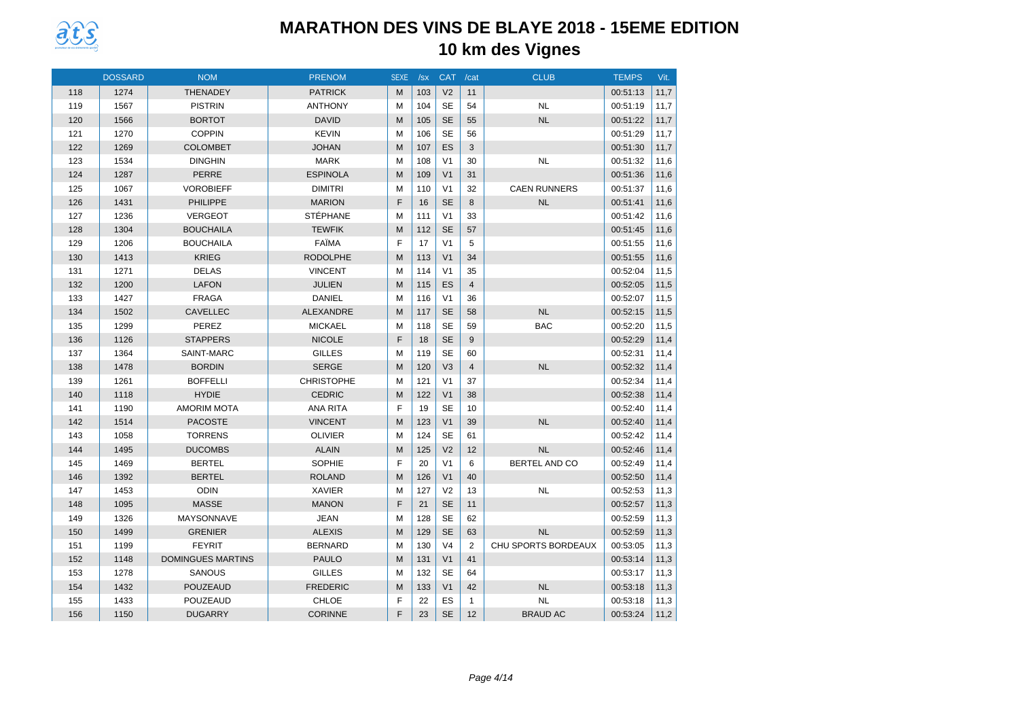

|     | <b>DOSSARD</b> | <b>NOM</b>               | <b>PRENOM</b>     | <b>SEXE</b> | /sx | CAT /cat       |                | <b>CLUB</b>         | <b>TEMPS</b> | Vit. |
|-----|----------------|--------------------------|-------------------|-------------|-----|----------------|----------------|---------------------|--------------|------|
| 118 | 1274           | <b>THENADEY</b>          | <b>PATRICK</b>    | M           | 103 | V <sub>2</sub> | 11             |                     | 00:51:13     | 11,7 |
| 119 | 1567           | <b>PISTRIN</b>           | <b>ANTHONY</b>    | M           | 104 | <b>SE</b>      | 54             | <b>NL</b>           | 00:51:19     | 11,7 |
| 120 | 1566           | <b>BORTOT</b>            | <b>DAVID</b>      | M           | 105 | <b>SE</b>      | 55             | <b>NL</b>           | 00:51:22     | 11,7 |
| 121 | 1270           | <b>COPPIN</b>            | <b>KEVIN</b>      | M           | 106 | <b>SE</b>      | 56             |                     | 00:51:29     | 11,7 |
| 122 | 1269           | <b>COLOMBET</b>          | <b>JOHAN</b>      | M           | 107 | ES             | 3              |                     | 00:51:30     | 11,7 |
| 123 | 1534           | <b>DINGHIN</b>           | <b>MARK</b>       | M           | 108 | V <sub>1</sub> | 30             | <b>NL</b>           | 00:51:32     | 11,6 |
| 124 | 1287           | <b>PERRE</b>             | <b>ESPINOLA</b>   | M           | 109 | V <sub>1</sub> | 31             |                     | 00:51:36     | 11,6 |
| 125 | 1067           | <b>VOROBIEFF</b>         | <b>DIMITRI</b>    | M           | 110 | V <sub>1</sub> | 32             | <b>CAEN RUNNERS</b> | 00:51:37     | 11,6 |
| 126 | 1431           | <b>PHILIPPE</b>          | <b>MARION</b>     | F           | 16  | <b>SE</b>      | 8              | <b>NL</b>           | 00:51:41     | 11,6 |
| 127 | 1236           | <b>VERGEOT</b>           | <b>STÉPHANE</b>   | M           | 111 | V <sub>1</sub> | 33             |                     | 00:51:42     | 11,6 |
| 128 | 1304           | <b>BOUCHAILA</b>         | <b>TEWFIK</b>     | M           | 112 | <b>SE</b>      | 57             |                     | 00:51:45     | 11,6 |
| 129 | 1206           | <b>BOUCHAILA</b>         | FAÏMA             | F           | 17  | V <sub>1</sub> | 5              |                     | 00:51:55     | 11,6 |
| 130 | 1413           | <b>KRIEG</b>             | <b>RODOLPHE</b>   | M           | 113 | V <sub>1</sub> | 34             |                     | 00:51:55     | 11,6 |
| 131 | 1271           | <b>DELAS</b>             | <b>VINCENT</b>    | M           | 114 | V <sub>1</sub> | 35             |                     | 00:52:04     | 11,5 |
| 132 | 1200           | <b>LAFON</b>             | <b>JULIEN</b>     | M           | 115 | ES             | $\overline{4}$ |                     | 00:52:05     | 11,5 |
| 133 | 1427           | <b>FRAGA</b>             | <b>DANIEL</b>     | M           | 116 | V <sub>1</sub> | 36             |                     | 00:52:07     | 11,5 |
| 134 | 1502           | <b>CAVELLEC</b>          | <b>ALEXANDRE</b>  | M           | 117 | <b>SE</b>      | 58             | <b>NL</b>           | 00:52:15     | 11,5 |
| 135 | 1299           | PEREZ                    | <b>MICKAEL</b>    | M           | 118 | <b>SE</b>      | 59             | <b>BAC</b>          | 00:52:20     | 11,5 |
| 136 | 1126           | <b>STAPPERS</b>          | <b>NICOLE</b>     | F           | 18  | <b>SE</b>      | 9              |                     | 00:52:29     | 11,4 |
| 137 | 1364           | SAINT-MARC               | <b>GILLES</b>     | M           | 119 | <b>SE</b>      | 60             |                     | 00:52:31     | 11,4 |
| 138 | 1478           | <b>BORDIN</b>            | <b>SERGE</b>      | M           | 120 | V <sub>3</sub> | $\overline{4}$ | <b>NL</b>           | 00:52:32     | 11,4 |
| 139 | 1261           | <b>BOFFELLI</b>          | <b>CHRISTOPHE</b> | M           | 121 | V <sub>1</sub> | 37             |                     | 00:52:34     | 11,4 |
| 140 | 1118           | <b>HYDIE</b>             | <b>CEDRIC</b>     | M           | 122 | V <sub>1</sub> | 38             |                     | 00:52:38     | 11,4 |
| 141 | 1190           | <b>AMORIM MOTA</b>       | <b>ANA RITA</b>   | F           | 19  | <b>SE</b>      | 10             |                     | 00:52:40     | 11,4 |
| 142 | 1514           | <b>PACOSTE</b>           | <b>VINCENT</b>    | M           | 123 | V <sub>1</sub> | 39             | <b>NL</b>           | 00:52:40     | 11,4 |
| 143 | 1058           | <b>TORRENS</b>           | <b>OLIVIER</b>    | M           | 124 | <b>SE</b>      | 61             |                     | 00:52:42     | 11,4 |
| 144 | 1495           | <b>DUCOMBS</b>           | <b>ALAIN</b>      | M           | 125 | V <sub>2</sub> | 12             | <b>NL</b>           | 00:52:46     | 11,4 |
| 145 | 1469           | <b>BERTEL</b>            | <b>SOPHIE</b>     | F           | 20  | V <sub>1</sub> | 6              | BERTEL AND CO       | 00:52:49     | 11,4 |
| 146 | 1392           | <b>BERTEL</b>            | <b>ROLAND</b>     | M           | 126 | V <sub>1</sub> | 40             |                     | 00:52:50     | 11,4 |
| 147 | 1453           | <b>ODIN</b>              | <b>XAVIER</b>     | M           | 127 | V <sub>2</sub> | 13             | <b>NL</b>           | 00:52:53     | 11,3 |
| 148 | 1095           | <b>MASSE</b>             | <b>MANON</b>      | F           | 21  | <b>SE</b>      | 11             |                     | 00:52:57     | 11,3 |
| 149 | 1326           | <b>MAYSONNAVE</b>        | <b>JEAN</b>       | M           | 128 | <b>SE</b>      | 62             |                     | 00:52:59     | 11,3 |
| 150 | 1499           | <b>GRENIER</b>           | <b>ALEXIS</b>     | M           | 129 | <b>SE</b>      | 63             | <b>NL</b>           | 00:52:59     | 11,3 |
| 151 | 1199           | <b>FEYRIT</b>            | <b>BERNARD</b>    | M           | 130 | V <sub>4</sub> | 2              | CHU SPORTS BORDEAUX | 00:53:05     | 11,3 |
| 152 | 1148           | <b>DOMINGUES MARTINS</b> | <b>PAULO</b>      | M           | 131 | V <sub>1</sub> | 41             |                     | 00:53:14     | 11,3 |
| 153 | 1278           | <b>SANOUS</b>            | <b>GILLES</b>     | M           | 132 | <b>SE</b>      | 64             |                     | 00:53:17     | 11,3 |
| 154 | 1432           | <b>POUZEAUD</b>          | <b>FREDERIC</b>   | M           | 133 | V <sub>1</sub> | 42             | <b>NL</b>           | 00:53:18     | 11,3 |
| 155 | 1433           | POUZEAUD                 | <b>CHLOE</b>      | F           | 22  | ES             | $\mathbf{1}$   | <b>NL</b>           | 00:53:18     | 11,3 |
| 156 | 1150           | <b>DUGARRY</b>           | <b>CORINNE</b>    | F           | 23  | <b>SE</b>      | 12             | <b>BRAUD AC</b>     | 00:53:24     | 11,2 |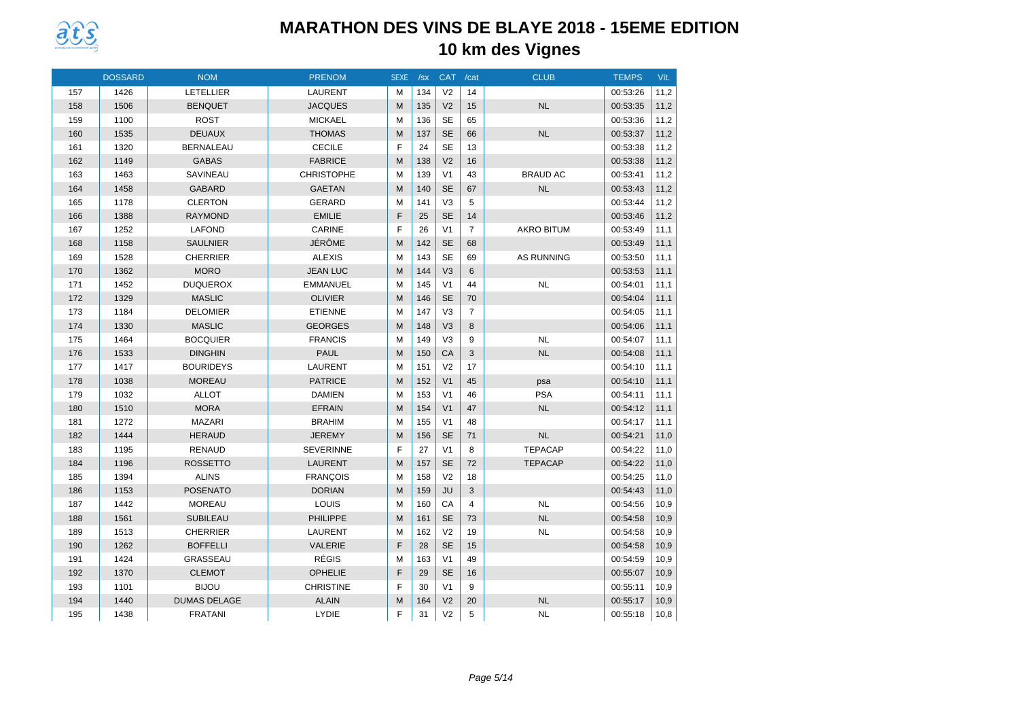

|     | <b>DOSSARD</b> | <b>NOM</b>          | <b>PRENOM</b>     | <b>SEXE</b> | /sx | <b>CAT</b>     | /cat           | <b>CLUB</b>       | <b>TEMPS</b> | Vit. |
|-----|----------------|---------------------|-------------------|-------------|-----|----------------|----------------|-------------------|--------------|------|
| 157 | 1426           | <b>LETELLIER</b>    | <b>LAURENT</b>    | M           | 134 | V <sub>2</sub> | 14             |                   | 00:53:26     | 11,2 |
| 158 | 1506           | <b>BENQUET</b>      | <b>JACQUES</b>    | M           | 135 | V <sub>2</sub> | 15             | <b>NL</b>         | 00:53:35     | 11,2 |
| 159 | 1100           | <b>ROST</b>         | <b>MICKAEL</b>    | M           | 136 | <b>SE</b>      | 65             |                   | 00:53:36     | 11,2 |
| 160 | 1535           | <b>DEUAUX</b>       | <b>THOMAS</b>     | M           | 137 | <b>SE</b>      | 66             | <b>NL</b>         | 00:53:37     | 11,2 |
| 161 | 1320           | <b>BERNALEAU</b>    | <b>CECILE</b>     | F           | 24  | <b>SE</b>      | 13             |                   | 00:53:38     | 11,2 |
| 162 | 1149           | <b>GABAS</b>        | <b>FABRICE</b>    | M           | 138 | V <sub>2</sub> | 16             |                   | 00:53:38     | 11,2 |
| 163 | 1463           | SAVINEAU            | <b>CHRISTOPHE</b> | M           | 139 | V <sub>1</sub> | 43             | <b>BRAUD AC</b>   | 00:53:41     | 11,2 |
| 164 | 1458           | <b>GABARD</b>       | <b>GAETAN</b>     | M           | 140 | <b>SE</b>      | 67             | NL                | 00:53:43     | 11,2 |
| 165 | 1178           | <b>CLERTON</b>      | <b>GERARD</b>     | M           | 141 | V <sub>3</sub> | 5              |                   | 00:53:44     | 11,2 |
| 166 | 1388           | <b>RAYMOND</b>      | <b>EMILIE</b>     | F           | 25  | <b>SE</b>      | 14             |                   | 00:53:46     | 11,2 |
| 167 | 1252           | <b>LAFOND</b>       | CARINE            | F           | 26  | V <sub>1</sub> | $\overline{7}$ | <b>AKRO BITUM</b> | 00:53:49     | 11,1 |
| 168 | 1158           | <b>SAULNIER</b>     | JÉRÔME            | M           | 142 | <b>SE</b>      | 68             |                   | 00:53:49     | 11,1 |
| 169 | 1528           | <b>CHERRIER</b>     | <b>ALEXIS</b>     | M           | 143 | <b>SE</b>      | 69             | <b>AS RUNNING</b> | 00:53:50     | 11,1 |
| 170 | 1362           | <b>MORO</b>         | <b>JEAN LUC</b>   | M           | 144 | V <sub>3</sub> | 6              |                   | 00:53:53     | 11,1 |
| 171 | 1452           | <b>DUQUEROX</b>     | <b>EMMANUEL</b>   | M           | 145 | V <sub>1</sub> | 44             | <b>NL</b>         | 00:54:01     | 11,1 |
| 172 | 1329           | <b>MASLIC</b>       | <b>OLIVIER</b>    | M           | 146 | <b>SE</b>      | 70             |                   | 00:54:04     | 11,1 |
| 173 | 1184           | <b>DELOMIER</b>     | <b>ETIENNE</b>    | M           | 147 | V <sub>3</sub> | $\overline{7}$ |                   | 00:54:05     | 11,1 |
| 174 | 1330           | <b>MASLIC</b>       | <b>GEORGES</b>    | M           | 148 | V <sub>3</sub> | 8              |                   | 00:54:06     | 11,1 |
| 175 | 1464           | <b>BOCQUIER</b>     | <b>FRANCIS</b>    | M           | 149 | V <sub>3</sub> | 9              | <b>NL</b>         | 00:54:07     | 11,1 |
| 176 | 1533           | <b>DINGHIN</b>      | <b>PAUL</b>       | M           | 150 | CA             | 3              | <b>NL</b>         | 00:54:08     | 11,1 |
| 177 | 1417           | <b>BOURIDEYS</b>    | <b>LAURENT</b>    | M           | 151 | V <sub>2</sub> | 17             |                   | 00:54:10     | 11,1 |
| 178 | 1038           | <b>MOREAU</b>       | <b>PATRICE</b>    | M           | 152 | V <sub>1</sub> | 45             | psa               | 00:54:10     | 11,1 |
| 179 | 1032           | <b>ALLOT</b>        | <b>DAMIEN</b>     | M           | 153 | V <sub>1</sub> | 46             | <b>PSA</b>        | 00:54:11     | 11,1 |
| 180 | 1510           | <b>MORA</b>         | <b>EFRAIN</b>     | M           | 154 | V <sub>1</sub> | 47             | <b>NL</b>         | 00:54:12     | 11,1 |
| 181 | 1272           | <b>MAZARI</b>       | <b>BRAHIM</b>     | M           | 155 | V <sub>1</sub> | 48             |                   | 00:54:17     | 11,1 |
| 182 | 1444           | <b>HERAUD</b>       | <b>JEREMY</b>     | M           | 156 | <b>SE</b>      | 71             | <b>NL</b>         | 00:54:21     | 11,0 |
| 183 | 1195           | <b>RENAUD</b>       | <b>SEVERINNE</b>  | F           | 27  | V <sub>1</sub> | 8              | <b>TEPACAP</b>    | 00:54:22     | 11,0 |
| 184 | 1196           | <b>ROSSETTO</b>     | <b>LAURENT</b>    | M           | 157 | <b>SE</b>      | 72             | <b>TEPACAP</b>    | 00:54:22     | 11,0 |
| 185 | 1394           | <b>ALINS</b>        | <b>FRANÇOIS</b>   | M           | 158 | V <sub>2</sub> | 18             |                   | 00:54:25     | 11,0 |
| 186 | 1153           | <b>POSENATO</b>     | <b>DORIAN</b>     | M           | 159 | JU             | 3              |                   | 00:54:43     | 11,0 |
| 187 | 1442           | <b>MOREAU</b>       | LOUIS             | M           | 160 | CA             | $\overline{4}$ | <b>NL</b>         | 00:54:56     | 10,9 |
| 188 | 1561           | <b>SUBILEAU</b>     | <b>PHILIPPE</b>   | M           | 161 | <b>SE</b>      | 73             | <b>NL</b>         | 00:54:58     | 10,9 |
| 189 | 1513           | <b>CHERRIER</b>     | <b>LAURENT</b>    | M           | 162 | V <sub>2</sub> | 19             | <b>NL</b>         | 00:54:58     | 10,9 |
| 190 | 1262           | <b>BOFFELLI</b>     | <b>VALERIE</b>    | F           | 28  | <b>SE</b>      | 15             |                   | 00:54:58     | 10,9 |
| 191 | 1424           | GRASSEAU            | <b>RÉGIS</b>      | M           | 163 | V <sub>1</sub> | 49             |                   | 00:54:59     | 10,9 |
| 192 | 1370           | <b>CLEMOT</b>       | OPHELIE           | F           | 29  | <b>SE</b>      | 16             |                   | 00:55:07     | 10,9 |
| 193 | 1101           | <b>BIJOU</b>        | <b>CHRISTINE</b>  | F           | 30  | V <sub>1</sub> | 9              |                   | 00:55:11     | 10,9 |
| 194 | 1440           | <b>DUMAS DELAGE</b> | <b>ALAIN</b>      | M           | 164 | V <sub>2</sub> | 20             | <b>NL</b>         | 00:55:17     | 10,9 |
| 195 | 1438           | <b>FRATANI</b>      | LYDIE             | F           | 31  | V <sub>2</sub> | 5              | <b>NL</b>         | 00:55:18     | 10,8 |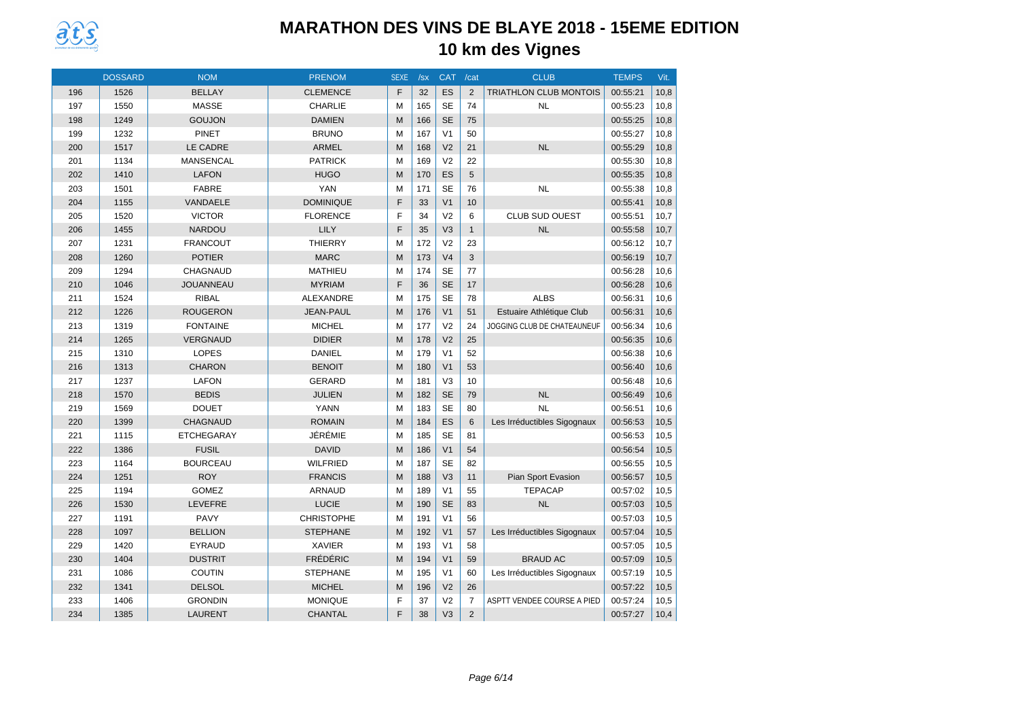

|     | <b>DOSSARD</b> | <b>NOM</b>        | <b>PRENOM</b>     | <b>SEXE</b> | /sx | <b>CAT</b>     | /cat           | <b>CLUB</b>                   | <b>TEMPS</b> | Vit. |
|-----|----------------|-------------------|-------------------|-------------|-----|----------------|----------------|-------------------------------|--------------|------|
| 196 | 1526           | <b>BELLAY</b>     | <b>CLEMENCE</b>   | F           | 32  | ES             | 2              | <b>TRIATHLON CLUB MONTOIS</b> | 00:55:21     | 10,8 |
| 197 | 1550           | <b>MASSE</b>      | <b>CHARLIE</b>    | M           | 165 | <b>SE</b>      | 74             | <b>NL</b>                     | 00:55:23     | 10,8 |
| 198 | 1249           | <b>GOUJON</b>     | <b>DAMIEN</b>     | M           | 166 | <b>SE</b>      | 75             |                               | 00:55:25     | 10,8 |
| 199 | 1232           | <b>PINET</b>      | <b>BRUNO</b>      | M           | 167 | V <sub>1</sub> | 50             |                               | 00:55:27     | 10,8 |
| 200 | 1517           | LE CADRE          | <b>ARMEL</b>      | M           | 168 | V <sub>2</sub> | 21             | <b>NL</b>                     | 00:55:29     | 10,8 |
| 201 | 1134           | <b>MANSENCAL</b>  | <b>PATRICK</b>    | M           | 169 | V <sub>2</sub> | 22             |                               | 00:55:30     | 10,8 |
| 202 | 1410           | <b>LAFON</b>      | <b>HUGO</b>       | M           | 170 | ES             | 5              |                               | 00:55:35     | 10,8 |
| 203 | 1501           | <b>FABRE</b>      | <b>YAN</b>        | M           | 171 | <b>SE</b>      | 76             | <b>NL</b>                     | 00:55:38     | 10,8 |
| 204 | 1155           | VANDAELE          | <b>DOMINIQUE</b>  | F           | 33  | V <sub>1</sub> | 10             |                               | 00:55:41     | 10,8 |
| 205 | 1520           | <b>VICTOR</b>     | <b>FLORENCE</b>   | F           | 34  | V <sub>2</sub> | 6              | <b>CLUB SUD OUEST</b>         | 00:55:51     | 10,7 |
| 206 | 1455           | <b>NARDOU</b>     | LILY              | F           | 35  | V <sub>3</sub> | $\mathbf{1}$   | <b>NL</b>                     | 00:55:58     | 10,7 |
| 207 | 1231           | <b>FRANCOUT</b>   | <b>THIERRY</b>    | M           | 172 | V <sub>2</sub> | 23             |                               | 00:56:12     | 10,7 |
| 208 | 1260           | <b>POTIER</b>     | <b>MARC</b>       | M           | 173 | V <sub>4</sub> | 3              |                               | 00:56:19     | 10,7 |
| 209 | 1294           | <b>CHAGNAUD</b>   | MATHIEU           | M           | 174 | <b>SE</b>      | 77             |                               | 00:56:28     | 10,6 |
| 210 | 1046           | <b>JOUANNEAU</b>  | <b>MYRIAM</b>     | F           | 36  | <b>SE</b>      | 17             |                               | 00:56:28     | 10,6 |
| 211 | 1524           | <b>RIBAL</b>      | ALEXANDRE         | M           | 175 | <b>SE</b>      | 78             | <b>ALBS</b>                   | 00:56:31     | 10,6 |
| 212 | 1226           | <b>ROUGERON</b>   | <b>JEAN-PAUL</b>  | M           | 176 | V <sub>1</sub> | 51             | Estuaire Athlétique Club      | 00:56:31     | 10,6 |
| 213 | 1319           | <b>FONTAINE</b>   | <b>MICHEL</b>     | M           | 177 | V <sub>2</sub> | 24             | JOGGING CLUB DE CHATEAUNEUF   | 00:56:34     | 10,6 |
| 214 | 1265           | <b>VERGNAUD</b>   | <b>DIDIER</b>     | M           | 178 | V <sub>2</sub> | 25             |                               | 00:56:35     | 10,6 |
| 215 | 1310           | <b>LOPES</b>      | <b>DANIEL</b>     | M           | 179 | V <sub>1</sub> | 52             |                               | 00:56:38     | 10,6 |
| 216 | 1313           | <b>CHARON</b>     | <b>BENOIT</b>     | M           | 180 | V <sub>1</sub> | 53             |                               | 00:56:40     | 10,6 |
| 217 | 1237           | <b>LAFON</b>      | <b>GERARD</b>     | M           | 181 | V <sub>3</sub> | 10             |                               | 00:56:48     | 10,6 |
| 218 | 1570           | <b>BEDIS</b>      | <b>JULIEN</b>     | M           | 182 | <b>SE</b>      | 79             | <b>NL</b>                     | 00:56:49     | 10,6 |
| 219 | 1569           | <b>DOUET</b>      | <b>YANN</b>       | M           | 183 | <b>SE</b>      | 80             | <b>NL</b>                     | 00:56:51     | 10,6 |
| 220 | 1399           | CHAGNAUD          | <b>ROMAIN</b>     | M           | 184 | ES             | 6              | Les Irréductibles Sigognaux   | 00:56:53     | 10,5 |
| 221 | 1115           | <b>ETCHEGARAY</b> | JÉRÉMIE           | M           | 185 | <b>SE</b>      | 81             |                               | 00:56:53     | 10,5 |
| 222 | 1386           | <b>FUSIL</b>      | <b>DAVID</b>      | M           | 186 | V <sub>1</sub> | 54             |                               | 00:56:54     | 10,5 |
| 223 | 1164           | <b>BOURCEAU</b>   | <b>WILFRIED</b>   | M           | 187 | <b>SE</b>      | 82             |                               | 00:56:55     | 10,5 |
| 224 | 1251           | <b>ROY</b>        | <b>FRANCIS</b>    | M           | 188 | V <sub>3</sub> | 11             | Pian Sport Evasion            | 00:56:57     | 10,5 |
| 225 | 1194           | <b>GOMEZ</b>      | ARNAUD            | M           | 189 | V <sub>1</sub> | 55             | <b>TEPACAP</b>                | 00:57:02     | 10,5 |
| 226 | 1530           | <b>LEVEFRE</b>    | <b>LUCIE</b>      | M           | 190 | <b>SE</b>      | 83             | <b>NL</b>                     | 00:57:03     | 10,5 |
| 227 | 1191           | <b>PAVY</b>       | <b>CHRISTOPHE</b> | M           | 191 | V <sub>1</sub> | 56             |                               | 00:57:03     | 10,5 |
| 228 | 1097           | <b>BELLION</b>    | <b>STEPHANE</b>   | M           | 192 | V <sub>1</sub> | 57             | Les Irréductibles Sigognaux   | 00:57:04     | 10,5 |
| 229 | 1420           | <b>EYRAUD</b>     | <b>XAVIER</b>     | M           | 193 | V <sub>1</sub> | 58             |                               | 00:57:05     | 10,5 |
| 230 | 1404           | <b>DUSTRIT</b>    | <b>FRÉDÉRIC</b>   | M           | 194 | V <sub>1</sub> | 59             | <b>BRAUD AC</b>               | 00:57:09     | 10,5 |
| 231 | 1086           | <b>COUTIN</b>     | <b>STEPHANE</b>   | M           | 195 | V <sub>1</sub> | 60             | Les Irréductibles Sigognaux   | 00:57:19     | 10,5 |
| 232 | 1341           | <b>DELSOL</b>     | <b>MICHEL</b>     | M           | 196 | V <sub>2</sub> | 26             |                               | 00:57:22     | 10,5 |
| 233 | 1406           | <b>GRONDIN</b>    | <b>MONIQUE</b>    | F           | 37  | V <sub>2</sub> | $\overline{7}$ | ASPTT VENDEE COURSE A PIED    | 00:57:24     | 10,5 |
| 234 | 1385           | <b>LAURENT</b>    | <b>CHANTAL</b>    | F           | 38  | V <sub>3</sub> | $\overline{2}$ |                               | 00:57:27     | 10,4 |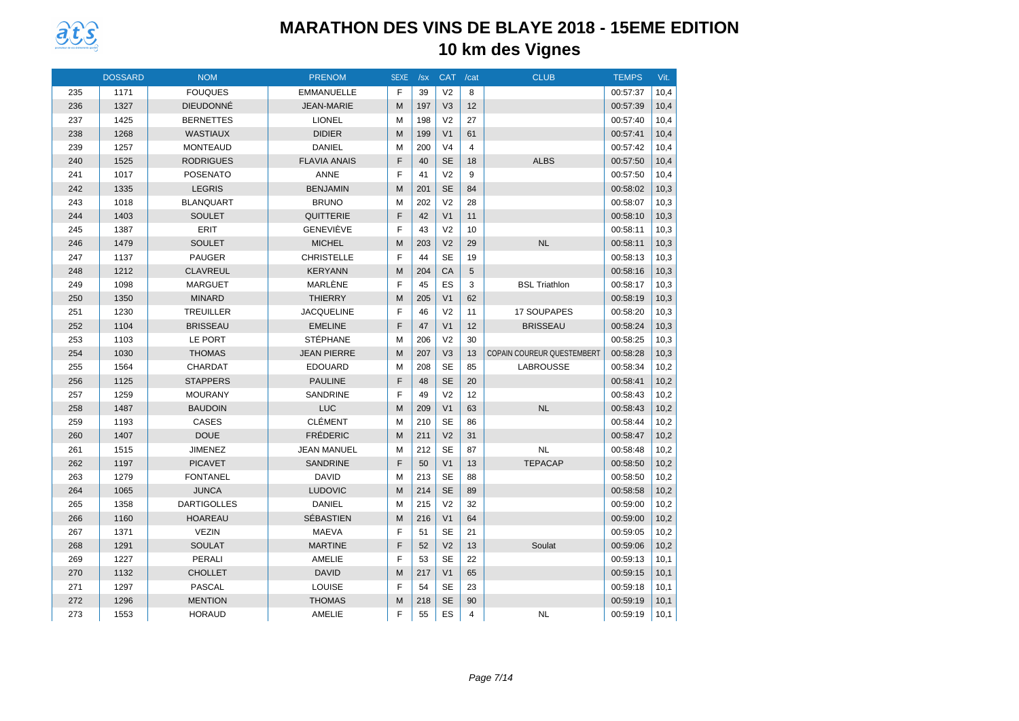

|     | <b>DOSSARD</b> | <b>NOM</b>         | <b>PRENOM</b>       | <b>SEXE</b> | /sx | <b>CAT</b>     | /cat           | <b>CLUB</b>                       | <b>TEMPS</b> | Vit. |
|-----|----------------|--------------------|---------------------|-------------|-----|----------------|----------------|-----------------------------------|--------------|------|
| 235 | 1171           | <b>FOUQUES</b>     | <b>EMMANUELLE</b>   | F           | 39  | V <sub>2</sub> | 8              |                                   | 00:57:37     | 10,4 |
| 236 | 1327           | <b>DIEUDONNÉ</b>   | <b>JEAN-MARIE</b>   | M           | 197 | V <sub>3</sub> | 12             |                                   | 00:57:39     | 10,4 |
| 237 | 1425           | <b>BERNETTES</b>   | <b>LIONEL</b>       | M           | 198 | V <sub>2</sub> | 27             |                                   | 00:57:40     | 10,4 |
| 238 | 1268           | <b>WASTIAUX</b>    | <b>DIDIER</b>       | M           | 199 | V <sub>1</sub> | 61             |                                   | 00:57:41     | 10,4 |
| 239 | 1257           | <b>MONTEAUD</b>    | <b>DANIEL</b>       | M           | 200 | V <sub>4</sub> | $\overline{4}$ |                                   | 00:57:42     | 10,4 |
| 240 | 1525           | <b>RODRIGUES</b>   | <b>FLAVIA ANAIS</b> | F           | 40  | <b>SE</b>      | 18             | <b>ALBS</b>                       | 00:57:50     | 10,4 |
| 241 | 1017           | <b>POSENATO</b>    | <b>ANNE</b>         | F           | 41  | V <sub>2</sub> | 9              |                                   | 00:57:50     | 10,4 |
| 242 | 1335           | <b>LEGRIS</b>      | <b>BENJAMIN</b>     | M           | 201 | <b>SE</b>      | 84             |                                   | 00:58:02     | 10,3 |
| 243 | 1018           | <b>BLANQUART</b>   | <b>BRUNO</b>        | M           | 202 | V <sub>2</sub> | 28             |                                   | 00:58:07     | 10,3 |
| 244 | 1403           | <b>SOULET</b>      | QUITTERIE           | F           | 42  | V <sub>1</sub> | 11             |                                   | 00:58:10     | 10,3 |
| 245 | 1387           | <b>ERIT</b>        | <b>GENEVIÈVE</b>    | F           | 43  | V <sub>2</sub> | 10             |                                   | 00:58:11     | 10,3 |
| 246 | 1479           | <b>SOULET</b>      | <b>MICHEL</b>       | M           | 203 | V <sub>2</sub> | 29             | <b>NL</b>                         | 00:58:11     | 10,3 |
| 247 | 1137           | <b>PAUGER</b>      | <b>CHRISTELLE</b>   | F           | 44  | <b>SE</b>      | 19             |                                   | 00:58:13     | 10,3 |
| 248 | 1212           | <b>CLAVREUL</b>    | <b>KERYANN</b>      | M           | 204 | CA             | 5              |                                   | 00:58:16     | 10,3 |
| 249 | 1098           | <b>MARGUET</b>     | MARLENE             | F           | 45  | ES             | 3              | <b>BSL Triathlon</b>              | 00:58:17     | 10,3 |
| 250 | 1350           | <b>MINARD</b>      | <b>THIERRY</b>      | M           | 205 | V <sub>1</sub> | 62             |                                   | 00:58:19     | 10,3 |
| 251 | 1230           | <b>TREUILLER</b>   | <b>JACQUELINE</b>   | F           | 46  | V <sub>2</sub> | 11             | 17 SOUPAPES                       | 00:58:20     | 10,3 |
| 252 | 1104           | <b>BRISSEAU</b>    | <b>EMELINE</b>      | E           | 47  | V <sub>1</sub> | 12             | <b>BRISSEAU</b>                   | 00:58:24     | 10,3 |
| 253 | 1103           | LE PORT            | <b>STÉPHANE</b>     | M           | 206 | V <sub>2</sub> | 30             |                                   | 00:58:25     | 10,3 |
| 254 | 1030           | <b>THOMAS</b>      | <b>JEAN PIERRE</b>  | M           | 207 | V <sub>3</sub> | 13             | <b>COPAIN COUREUR QUESTEMBERT</b> | 00:58:28     | 10,3 |
| 255 | 1564           | <b>CHARDAT</b>     | <b>EDOUARD</b>      | M           | 208 | <b>SE</b>      | 85             | LABROUSSE                         | 00:58:34     | 10,2 |
| 256 | 1125           | <b>STAPPERS</b>    | <b>PAULINE</b>      | F           | 48  | <b>SE</b>      | 20             |                                   | 00:58:41     | 10,2 |
| 257 | 1259           | <b>MOURANY</b>     | SANDRINE            | F           | 49  | V <sub>2</sub> | 12             |                                   | 00:58:43     | 10,2 |
| 258 | 1487           | <b>BAUDOIN</b>     | <b>LUC</b>          | M           | 209 | V <sub>1</sub> | 63             | <b>NL</b>                         | 00:58:43     | 10,2 |
| 259 | 1193           | CASES              | <b>CLÉMENT</b>      | M           | 210 | <b>SE</b>      | 86             |                                   | 00:58:44     | 10,2 |
| 260 | 1407           | <b>DOUE</b>        | <b>FRÉDERIC</b>     | M           | 211 | V <sub>2</sub> | 31             |                                   | 00:58:47     | 10,2 |
| 261 | 1515           | <b>JIMENEZ</b>     | <b>JEAN MANUEL</b>  | M           | 212 | <b>SE</b>      | 87             | <b>NL</b>                         | 00:58:48     | 10,2 |
| 262 | 1197           | <b>PICAVET</b>     | <b>SANDRINE</b>     | F           | 50  | V <sub>1</sub> | 13             | <b>TEPACAP</b>                    | 00:58:50     | 10,2 |
| 263 | 1279           | <b>FONTANEL</b>    | <b>DAVID</b>        | M           | 213 | <b>SE</b>      | 88             |                                   | 00:58:50     | 10,2 |
| 264 | 1065           | <b>JUNCA</b>       | <b>LUDOVIC</b>      | M           | 214 | <b>SE</b>      | 89             |                                   | 00:58:58     | 10,2 |
| 265 | 1358           | <b>DARTIGOLLES</b> | <b>DANIEL</b>       | M           | 215 | V <sub>2</sub> | 32             |                                   | 00:59:00     | 10,2 |
| 266 | 1160           | <b>HOAREAU</b>     | <b>SÉBASTIEN</b>    | M           | 216 | V <sub>1</sub> | 64             |                                   | 00:59:00     | 10,2 |
| 267 | 1371           | <b>VEZIN</b>       | <b>MAEVA</b>        | F           | 51  | <b>SE</b>      | 21             |                                   | 00:59:05     | 10,2 |
| 268 | 1291           | <b>SOULAT</b>      | <b>MARTINE</b>      | F           | 52  | V <sub>2</sub> | 13             | Soulat                            | 00:59:06     | 10,2 |
| 269 | 1227           | PERALI             | AMELIE              | F           | 53  | <b>SE</b>      | 22             |                                   | 00:59:13     | 10,1 |
| 270 | 1132           | <b>CHOLLET</b>     | <b>DAVID</b>        | M           | 217 | V <sub>1</sub> | 65             |                                   | 00:59:15     | 10,1 |
| 271 | 1297           | <b>PASCAL</b>      | <b>LOUISE</b>       | F           | 54  | <b>SE</b>      | 23             |                                   | 00:59:18     | 10,1 |
| 272 | 1296           | <b>MENTION</b>     | <b>THOMAS</b>       | M           | 218 | <b>SE</b>      | 90             |                                   | 00:59:19     | 10,1 |
| 273 | 1553           | <b>HORAUD</b>      | AMELIE              | F           | 55  | ES             | 4              | NL                                | 00:59:19     | 10,1 |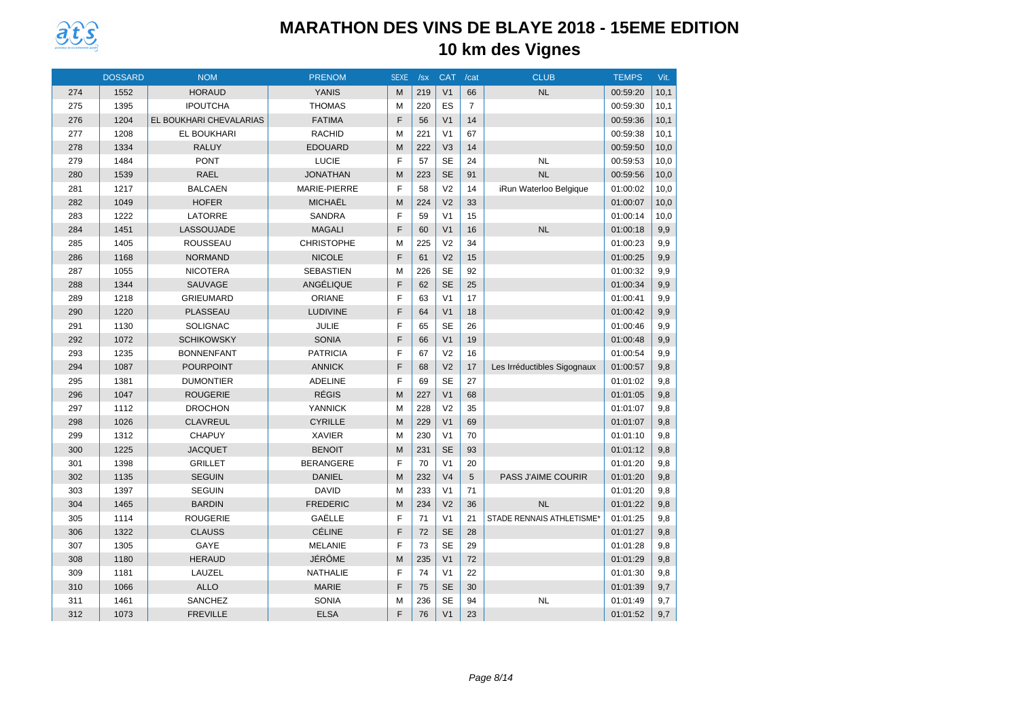

|     | <b>DOSSARD</b> | <b>NOM</b>              | <b>PRENOM</b>     | <b>SEXE</b> | /sx | <b>CAT</b>     | /cat           | <b>CLUB</b>                 | <b>TEMPS</b> | Vit. |
|-----|----------------|-------------------------|-------------------|-------------|-----|----------------|----------------|-----------------------------|--------------|------|
| 274 | 1552           | <b>HORAUD</b>           | <b>YANIS</b>      | M           | 219 | V <sub>1</sub> | 66             | <b>NL</b>                   | 00:59:20     | 10,1 |
| 275 | 1395           | <b>IPOUTCHA</b>         | <b>THOMAS</b>     | м           | 220 | ES             | $\overline{7}$ |                             | 00:59:30     | 10,1 |
| 276 | 1204           | EL BOUKHARI CHEVALARIAS | <b>FATIMA</b>     | F           | 56  | V <sub>1</sub> | 14             |                             | 00:59:36     | 10,1 |
| 277 | 1208           | EL BOUKHARI             | <b>RACHID</b>     | M           | 221 | V <sub>1</sub> | 67             |                             | 00:59:38     | 10,1 |
| 278 | 1334           | <b>RALUY</b>            | <b>EDOUARD</b>    | M           | 222 | V <sub>3</sub> | 14             |                             | 00:59:50     | 10,0 |
| 279 | 1484           | <b>PONT</b>             | LUCIE             | F           | 57  | <b>SE</b>      | 24             | <b>NL</b>                   | 00:59:53     | 10,0 |
| 280 | 1539           | <b>RAEL</b>             | <b>JONATHAN</b>   | M           | 223 | <b>SE</b>      | 91             | <b>NL</b>                   | 00:59:56     | 10,0 |
| 281 | 1217           | <b>BALCAEN</b>          | MARIE-PIERRE      | F           | 58  | V <sub>2</sub> | 14             | iRun Waterloo Belgique      | 01:00:02     | 10,0 |
| 282 | 1049           | <b>HOFER</b>            | <b>MICHAËL</b>    | M           | 224 | V <sub>2</sub> | 33             |                             | 01:00:07     | 10,0 |
| 283 | 1222           | LATORRE                 | <b>SANDRA</b>     | F           | 59  | V <sub>1</sub> | 15             |                             | 01:00:14     | 10,0 |
| 284 | 1451           | LASSOUJADE              | <b>MAGALI</b>     | F           | 60  | V <sub>1</sub> | 16             | <b>NL</b>                   | 01:00:18     | 9,9  |
| 285 | 1405           | <b>ROUSSEAU</b>         | <b>CHRISTOPHE</b> | M           | 225 | V <sub>2</sub> | 34             |                             | 01:00:23     | 9,9  |
| 286 | 1168           | <b>NORMAND</b>          | <b>NICOLE</b>     | F           | 61  | V <sub>2</sub> | 15             |                             | 01:00:25     | 9,9  |
| 287 | 1055           | <b>NICOTERA</b>         | <b>SEBASTIEN</b>  | M           | 226 | <b>SE</b>      | 92             |                             | 01:00:32     | 9,9  |
| 288 | 1344           | SAUVAGE                 | ANGÉLIQUE         | F           | 62  | <b>SE</b>      | 25             |                             | 01:00:34     | 9,9  |
| 289 | 1218           | <b>GRIEUMARD</b>        | ORIANE            | F           | 63  | V <sub>1</sub> | 17             |                             | 01:00:41     | 9,9  |
| 290 | 1220           | PLASSEAU                | <b>LUDIVINE</b>   | F           | 64  | V <sub>1</sub> | 18             |                             | 01:00:42     | 9,9  |
| 291 | 1130           | <b>SOLIGNAC</b>         | JULIE             | F           | 65  | <b>SE</b>      | 26             |                             | 01:00:46     | 9.9  |
| 292 | 1072           | <b>SCHIKOWSKY</b>       | <b>SONIA</b>      | F           | 66  | V <sub>1</sub> | 19             |                             | 01:00:48     | 9,9  |
| 293 | 1235           | <b>BONNENFANT</b>       | <b>PATRICIA</b>   | F           | 67  | V <sub>2</sub> | 16             |                             | 01:00:54     | 9,9  |
| 294 | 1087           | <b>POURPOINT</b>        | <b>ANNICK</b>     | F           | 68  | V <sub>2</sub> | 17             | Les Irréductibles Sigognaux | 01:00:57     | 9,8  |
| 295 | 1381           | <b>DUMONTIER</b>        | ADELINE           | F           | 69  | <b>SE</b>      | 27             |                             | 01:01:02     | 9,8  |
| 296 | 1047           | <b>ROUGERIE</b>         | <b>RÉGIS</b>      | M           | 227 | V <sub>1</sub> | 68             |                             | 01:01:05     | 9,8  |
| 297 | 1112           | <b>DROCHON</b>          | <b>YANNICK</b>    | M           | 228 | V <sub>2</sub> | 35             |                             | 01:01:07     | 9,8  |
| 298 | 1026           | <b>CLAVREUL</b>         | <b>CYRILLE</b>    | M           | 229 | V <sub>1</sub> | 69             |                             | 01:01:07     | 9,8  |
| 299 | 1312           | CHAPUY                  | <b>XAVIER</b>     | M           | 230 | V <sub>1</sub> | 70             |                             | 01:01:10     | 9,8  |
| 300 | 1225           | <b>JACQUET</b>          | <b>BENOIT</b>     | M           | 231 | <b>SE</b>      | 93             |                             | 01:01:12     | 9,8  |
| 301 | 1398           | <b>GRILLET</b>          | <b>BERANGERE</b>  | F           | 70  | V <sub>1</sub> | 20             |                             | 01:01:20     | 9,8  |
| 302 | 1135           | <b>SEGUIN</b>           | <b>DANIEL</b>     | M           | 232 | V <sub>4</sub> | 5              | PASS J'AIME COURIR          | 01:01:20     | 9,8  |
| 303 | 1397           | <b>SEGUIN</b>           | <b>DAVID</b>      | M           | 233 | V <sub>1</sub> | 71             |                             | 01:01:20     | 9,8  |
| 304 | 1465           | <b>BARDIN</b>           | <b>FREDERIC</b>   | M           | 234 | V <sub>2</sub> | 36             | <b>NL</b>                   | 01:01:22     | 9,8  |
| 305 | 1114           | <b>ROUGERIE</b>         | GAËLLE            | F           | 71  | V <sub>1</sub> | 21             | STADE RENNAIS ATHLETISME*   | 01:01:25     | 9,8  |
| 306 | 1322           | <b>CLAUSS</b>           | <b>CÉLINE</b>     | F           | 72  | <b>SE</b>      | 28             |                             | 01:01:27     | 9,8  |
| 307 | 1305           | GAYE                    | <b>MELANIE</b>    | F           | 73  | <b>SE</b>      | 29             |                             | 01:01:28     | 9,8  |
| 308 | 1180           | <b>HERAUD</b>           | JÉRÔME            | M           | 235 | V <sub>1</sub> | 72             |                             | 01:01:29     | 9,8  |
| 309 | 1181           | LAUZEL                  | NATHALIE          | F           | 74  | V <sub>1</sub> | 22             |                             | 01:01:30     | 9,8  |
| 310 | 1066           | <b>ALLO</b>             | <b>MARIE</b>      | F           | 75  | <b>SE</b>      | 30             |                             | 01:01:39     | 9,7  |
| 311 | 1461           | SANCHEZ                 | SONIA             | M           | 236 | <b>SE</b>      | 94             | <b>NL</b>                   | 01:01:49     | 9,7  |
| 312 | 1073           | <b>FREVILLE</b>         | <b>ELSA</b>       | F           | 76  | V <sub>1</sub> | 23             |                             | 01:01:52     | 9,7  |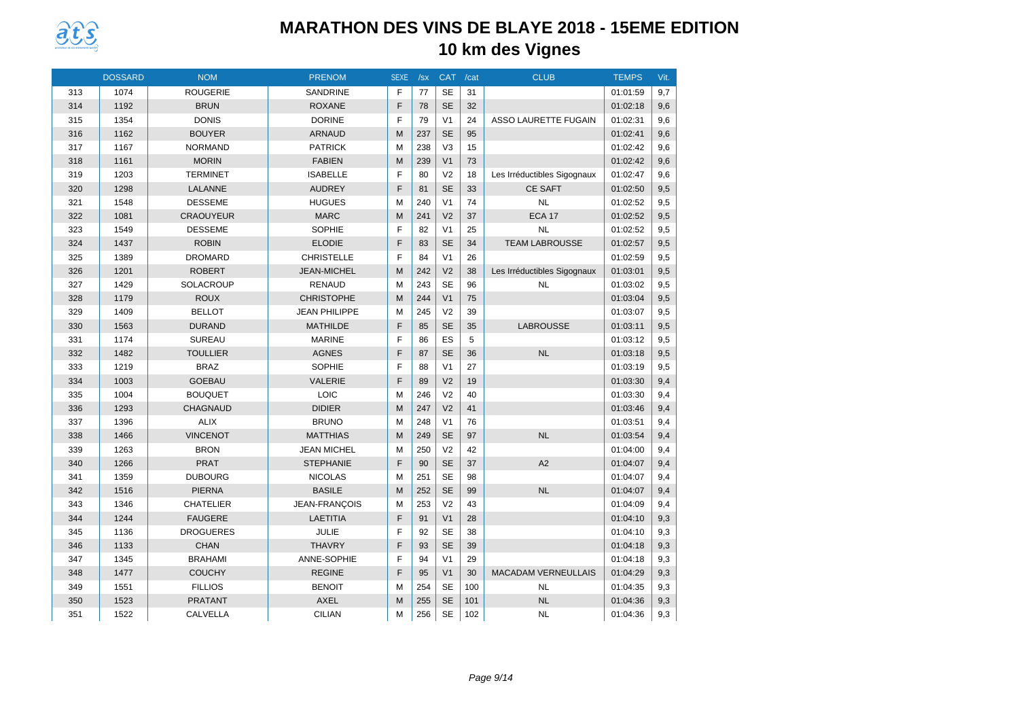

|     | <b>DOSSARD</b> | <b>NOM</b>       | <b>PRENOM</b>        | <b>SEXE</b> | /sx | <b>CAT</b>     | /cat | <b>CLUB</b>                 | <b>TEMPS</b> | Vit. |
|-----|----------------|------------------|----------------------|-------------|-----|----------------|------|-----------------------------|--------------|------|
| 313 | 1074           | <b>ROUGERIE</b>  | <b>SANDRINE</b>      | F           | 77  | <b>SE</b>      | 31   |                             | 01:01:59     | 9,7  |
| 314 | 1192           | <b>BRUN</b>      | <b>ROXANE</b>        | F           | 78  | <b>SE</b>      | 32   |                             | 01:02:18     | 9,6  |
| 315 | 1354           | <b>DONIS</b>     | <b>DORINE</b>        | F           | 79  | V <sub>1</sub> | 24   | <b>ASSO LAURETTE FUGAIN</b> | 01:02:31     | 9.6  |
| 316 | 1162           | <b>BOUYER</b>    | <b>ARNAUD</b>        | M           | 237 | <b>SE</b>      | 95   |                             | 01:02:41     | 9,6  |
| 317 | 1167           | <b>NORMAND</b>   | <b>PATRICK</b>       | M           | 238 | V <sub>3</sub> | 15   |                             | 01:02:42     | 9,6  |
| 318 | 1161           | <b>MORIN</b>     | <b>FABIEN</b>        | M           | 239 | V <sub>1</sub> | 73   |                             | 01:02:42     | 9,6  |
| 319 | 1203           | <b>TERMINET</b>  | <b>ISABELLE</b>      | F           | 80  | V <sub>2</sub> | 18   | Les Irréductibles Sigognaux | 01:02:47     | 9.6  |
| 320 | 1298           | LALANNE          | <b>AUDREY</b>        | F           | 81  | <b>SE</b>      | 33   | <b>CE SAFT</b>              | 01:02:50     | 9,5  |
| 321 | 1548           | <b>DESSEME</b>   | <b>HUGUES</b>        | M           | 240 | V <sub>1</sub> | 74   | <b>NL</b>                   | 01:02:52     | 9,5  |
| 322 | 1081           | <b>CRAOUYEUR</b> | <b>MARC</b>          | M           | 241 | V <sub>2</sub> | 37   | <b>ECA 17</b>               | 01:02:52     | 9,5  |
| 323 | 1549           | <b>DESSEME</b>   | <b>SOPHIE</b>        | E           | 82  | V <sub>1</sub> | 25   | <b>NL</b>                   | 01:02:52     | 9,5  |
| 324 | 1437           | <b>ROBIN</b>     | <b>ELODIE</b>        | F           | 83  | <b>SE</b>      | 34   | <b>TEAM LABROUSSE</b>       | 01:02:57     | 9,5  |
| 325 | 1389           | <b>DROMARD</b>   | <b>CHRISTELLE</b>    | F           | 84  | V <sub>1</sub> | 26   |                             | 01:02:59     | 9,5  |
| 326 | 1201           | <b>ROBERT</b>    | <b>JEAN-MICHEL</b>   | M           | 242 | V <sub>2</sub> | 38   | Les Irréductibles Sigognaux | 01:03:01     | 9,5  |
| 327 | 1429           | SOLACROUP        | <b>RENAUD</b>        | M           | 243 | <b>SE</b>      | 96   | <b>NL</b>                   | 01:03:02     | 9,5  |
| 328 | 1179           | <b>ROUX</b>      | <b>CHRISTOPHE</b>    | M           | 244 | V <sub>1</sub> | 75   |                             | 01:03:04     | 9,5  |
| 329 | 1409           | <b>BELLOT</b>    | <b>JEAN PHILIPPE</b> | M           | 245 | V <sub>2</sub> | 39   |                             | 01:03:07     | 9,5  |
| 330 | 1563           | <b>DURAND</b>    | <b>MATHILDE</b>      | F           | 85  | <b>SE</b>      | 35   | <b>LABROUSSE</b>            | 01:03:11     | 9,5  |
| 331 | 1174           | <b>SUREAU</b>    | <b>MARINE</b>        | F           | 86  | ES             | 5    |                             | 01:03:12     | 9,5  |
| 332 | 1482           | <b>TOULLIER</b>  | <b>AGNES</b>         | F           | 87  | <b>SE</b>      | 36   | NL                          | 01:03:18     | 9,5  |
| 333 | 1219           | <b>BRAZ</b>      | SOPHIE               | F           | 88  | V <sub>1</sub> | 27   |                             | 01:03:19     | 9,5  |
| 334 | 1003           | <b>GOEBAU</b>    | <b>VALERIE</b>       | F           | 89  | V <sub>2</sub> | 19   |                             | 01:03:30     | 9,4  |
| 335 | 1004           | <b>BOUQUET</b>   | LOIC                 | M           | 246 | V <sub>2</sub> | 40   |                             | 01:03:30     | 9,4  |
| 336 | 1293           | <b>CHAGNAUD</b>  | <b>DIDIER</b>        | M           | 247 | V <sub>2</sub> | 41   |                             | 01:03:46     | 9,4  |
| 337 | 1396           | <b>ALIX</b>      | <b>BRUNO</b>         | M           | 248 | V <sub>1</sub> | 76   |                             | 01:03:51     | 9.4  |
| 338 | 1466           | <b>VINCENOT</b>  | <b>MATTHIAS</b>      | M           | 249 | <b>SE</b>      | 97   | NL                          | 01:03:54     | 9,4  |
| 339 | 1263           | <b>BRON</b>      | <b>JEAN MICHEL</b>   | M           | 250 | V <sub>2</sub> | 42   |                             | 01:04:00     | 9,4  |
| 340 | 1266           | <b>PRAT</b>      | <b>STEPHANIE</b>     | F           | 90  | <b>SE</b>      | 37   | A2                          | 01:04:07     | 9,4  |
| 341 | 1359           | <b>DUBOURG</b>   | <b>NICOLAS</b>       | M           | 251 | <b>SE</b>      | 98   |                             | 01:04:07     | 9.4  |
| 342 | 1516           | <b>PIERNA</b>    | <b>BASILE</b>        | M           | 252 | <b>SE</b>      | 99   | <b>NL</b>                   | 01:04:07     | 9,4  |
| 343 | 1346           | <b>CHATELIER</b> | JEAN-FRANÇOIS        | M           | 253 | V <sub>2</sub> | 43   |                             | 01:04:09     | 9,4  |
| 344 | 1244           | <b>FAUGERE</b>   | <b>LAETITIA</b>      | F           | 91  | V <sub>1</sub> | 28   |                             | 01:04:10     | 9,3  |
| 345 | 1136           | <b>DROGUERES</b> | JULIE                | F           | 92  | <b>SE</b>      | 38   |                             | 01:04:10     | 9,3  |
| 346 | 1133           | <b>CHAN</b>      | <b>THAVRY</b>        | F           | 93  | <b>SE</b>      | 39   |                             | 01:04:18     | 9,3  |
| 347 | 1345           | <b>BRAHAMI</b>   | ANNE-SOPHIE          | F           | 94  | V <sub>1</sub> | 29   |                             | 01:04:18     | 9,3  |
| 348 | 1477           | <b>COUCHY</b>    | <b>REGINE</b>        | F           | 95  | V <sub>1</sub> | 30   | <b>MACADAM VERNEULLAIS</b>  | 01:04:29     | 9,3  |
| 349 | 1551           | <b>FILLIOS</b>   | <b>BENOIT</b>        | M           | 254 | <b>SE</b>      | 100  | <b>NL</b>                   | 01:04:35     | 9,3  |
| 350 | 1523           | <b>PRATANT</b>   | AXEL                 | M           | 255 | <b>SE</b>      | 101  | <b>NL</b>                   | 01:04:36     | 9,3  |
| 351 | 1522           | <b>CALVELLA</b>  | <b>CILIAN</b>        | M           | 256 | <b>SE</b>      | 102  | <b>NL</b>                   | 01:04:36     | 9,3  |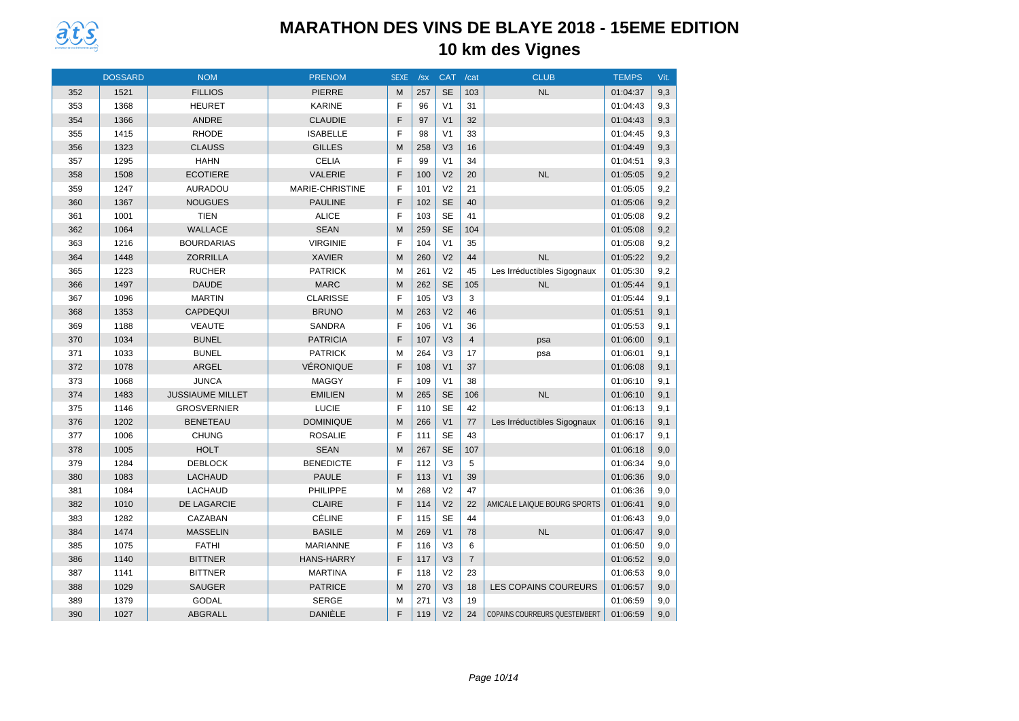

|     | <b>DOSSARD</b> | <b>NOM</b>              | <b>PRENOM</b>     | <b>SEXE</b> | /sx | <b>CAT</b>     | /cat           | <b>CLUB</b>                          | <b>TEMPS</b> | Vit. |
|-----|----------------|-------------------------|-------------------|-------------|-----|----------------|----------------|--------------------------------------|--------------|------|
| 352 | 1521           | <b>FILLIOS</b>          | <b>PIERRE</b>     | M           | 257 | <b>SE</b>      | 103            | <b>NL</b>                            | 01:04:37     | 9,3  |
| 353 | 1368           | <b>HEURET</b>           | <b>KARINE</b>     | F           | 96  | V <sub>1</sub> | 31             |                                      | 01:04:43     | 9,3  |
| 354 | 1366           | <b>ANDRE</b>            | <b>CLAUDIE</b>    | E           | 97  | V <sub>1</sub> | 32             |                                      | 01:04:43     | 9,3  |
| 355 | 1415           | <b>RHODE</b>            | <b>ISABELLE</b>   | F           | 98  | V <sub>1</sub> | 33             |                                      | 01:04:45     | 9,3  |
| 356 | 1323           | <b>CLAUSS</b>           | <b>GILLES</b>     | M           | 258 | V <sub>3</sub> | 16             |                                      | 01:04:49     | 9,3  |
| 357 | 1295           | <b>HAHN</b>             | <b>CELIA</b>      | F           | 99  | V <sub>1</sub> | 34             |                                      | 01:04:51     | 9,3  |
| 358 | 1508           | <b>ECOTIERE</b>         | VALERIE           | F           | 100 | V <sub>2</sub> | 20             | <b>NL</b>                            | 01:05:05     | 9,2  |
| 359 | 1247           | <b>AURADOU</b>          | MARIE-CHRISTINE   | F           | 101 | V <sub>2</sub> | 21             |                                      | 01:05:05     | 9,2  |
| 360 | 1367           | <b>NOUGUES</b>          | <b>PAULINE</b>    | E           | 102 | <b>SE</b>      | 40             |                                      | 01:05:06     | 9,2  |
| 361 | 1001           | <b>TIEN</b>             | <b>ALICE</b>      | E           | 103 | <b>SE</b>      | 41             |                                      | 01:05:08     | 9,2  |
| 362 | 1064           | <b>WALLACE</b>          | <b>SEAN</b>       | M           | 259 | <b>SE</b>      | 104            |                                      | 01:05:08     | 9,2  |
| 363 | 1216           | <b>BOURDARIAS</b>       | <b>VIRGINIE</b>   | F           | 104 | V <sub>1</sub> | 35             |                                      | 01:05:08     | 9,2  |
| 364 | 1448           | <b>ZORRILLA</b>         | <b>XAVIER</b>     | M           | 260 | V <sub>2</sub> | 44             | <b>NL</b>                            | 01:05:22     | 9,2  |
| 365 | 1223           | <b>RUCHER</b>           | <b>PATRICK</b>    | M           | 261 | V <sub>2</sub> | 45             | Les Irréductibles Sigognaux          | 01:05:30     | 9,2  |
| 366 | 1497           | <b>DAUDE</b>            | <b>MARC</b>       | M           | 262 | <b>SE</b>      | 105            | <b>NL</b>                            | 01:05:44     | 9,1  |
| 367 | 1096           | <b>MARTIN</b>           | <b>CLARISSE</b>   | E           | 105 | V <sub>3</sub> | 3              |                                      | 01:05:44     | 9.1  |
| 368 | 1353           | CAPDEQUI                | <b>BRUNO</b>      | M           | 263 | V <sub>2</sub> | 46             |                                      | 01:05:51     | 9,1  |
| 369 | 1188           | <b>VEAUTE</b>           | <b>SANDRA</b>     | E           | 106 | V <sub>1</sub> | 36             |                                      | 01:05:53     | 9.1  |
| 370 | 1034           | <b>BUNEL</b>            | <b>PATRICIA</b>   | F           | 107 | V <sub>3</sub> | $\overline{4}$ | psa                                  | 01:06:00     | 9,1  |
| 371 | 1033           | <b>BUNEL</b>            | <b>PATRICK</b>    | M           | 264 | V <sub>3</sub> | 17             | psa                                  | 01:06:01     | 9,1  |
| 372 | 1078           | ARGEL                   | <b>VÉRONIQUE</b>  | E           | 108 | V <sub>1</sub> | 37             |                                      | 01:06:08     | 9,1  |
| 373 | 1068           | <b>JUNCA</b>            | <b>MAGGY</b>      | F           | 109 | V <sub>1</sub> | 38             |                                      | 01:06:10     | 9,1  |
| 374 | 1483           | <b>JUSSIAUME MILLET</b> | <b>EMILIEN</b>    | M           | 265 | <b>SE</b>      | 106            | <b>NL</b>                            | 01:06:10     | 9,1  |
| 375 | 1146           | <b>GROSVERNIER</b>      | <b>LUCIE</b>      | E           | 110 | <b>SE</b>      | 42             |                                      | 01:06:13     | 9,1  |
| 376 | 1202           | <b>BENETEAU</b>         | <b>DOMINIQUE</b>  | M           | 266 | V <sub>1</sub> | 77             | Les Irréductibles Sigognaux          | 01:06:16     | 9,1  |
| 377 | 1006           | <b>CHUNG</b>            | <b>ROSALIE</b>    | F           | 111 | <b>SE</b>      | 43             |                                      | 01:06:17     | 9,1  |
| 378 | 1005           | <b>HOLT</b>             | <b>SEAN</b>       | M           | 267 | <b>SE</b>      | 107            |                                      | 01:06:18     | 9,0  |
| 379 | 1284           | <b>DEBLOCK</b>          | <b>BENEDICTE</b>  | F           | 112 | V <sub>3</sub> | 5              |                                      | 01:06:34     | 9.0  |
| 380 | 1083           | <b>LACHAUD</b>          | <b>PAULE</b>      | F           | 113 | V <sub>1</sub> | 39             |                                      | 01:06:36     | 9,0  |
| 381 | 1084           | LACHAUD                 | <b>PHILIPPE</b>   | M           | 268 | V <sub>2</sub> | 47             |                                      | 01:06:36     | 9,0  |
| 382 | 1010           | DE LAGARCIE             | <b>CLAIRE</b>     | F           | 114 | V <sub>2</sub> | 22             | AMICALE LAIQUE BOURG SPORTS          | 01:06:41     | 9,0  |
| 383 | 1282           | CAZABAN                 | <b>CÉLINE</b>     | F           | 115 | <b>SE</b>      | 44             |                                      | 01:06:43     | 9.0  |
| 384 | 1474           | <b>MASSELIN</b>         | <b>BASILE</b>     | M           | 269 | V <sub>1</sub> | 78             | <b>NL</b>                            | 01:06:47     | 9,0  |
| 385 | 1075           | <b>FATHI</b>            | <b>MARIANNE</b>   | F           | 116 | V <sub>3</sub> | 6              |                                      | 01:06:50     | 9,0  |
| 386 | 1140           | <b>BITTNER</b>          | <b>HANS-HARRY</b> | F           | 117 | V <sub>3</sub> | $\overline{7}$ |                                      | 01:06:52     | 9,0  |
| 387 | 1141           | <b>BITTNER</b>          | <b>MARTINA</b>    | F           | 118 | V <sub>2</sub> | 23             |                                      | 01:06:53     | 9,0  |
| 388 | 1029           | <b>SAUGER</b>           | <b>PATRICE</b>    | M           | 270 | V <sub>3</sub> | 18             | <b>LES COPAINS COUREURS</b>          | 01:06:57     | 9,0  |
| 389 | 1379           | <b>GODAL</b>            | <b>SERGE</b>      | M           | 271 | V <sub>3</sub> | 19             |                                      | 01:06:59     | 9,0  |
| 390 | 1027           | <b>ABGRALL</b>          | <b>DANIÈLE</b>    | F           | 119 | V <sub>2</sub> | 24             | <b>COPAINS COURREURS QUESTEMBERT</b> | 01:06:59     | 9,0  |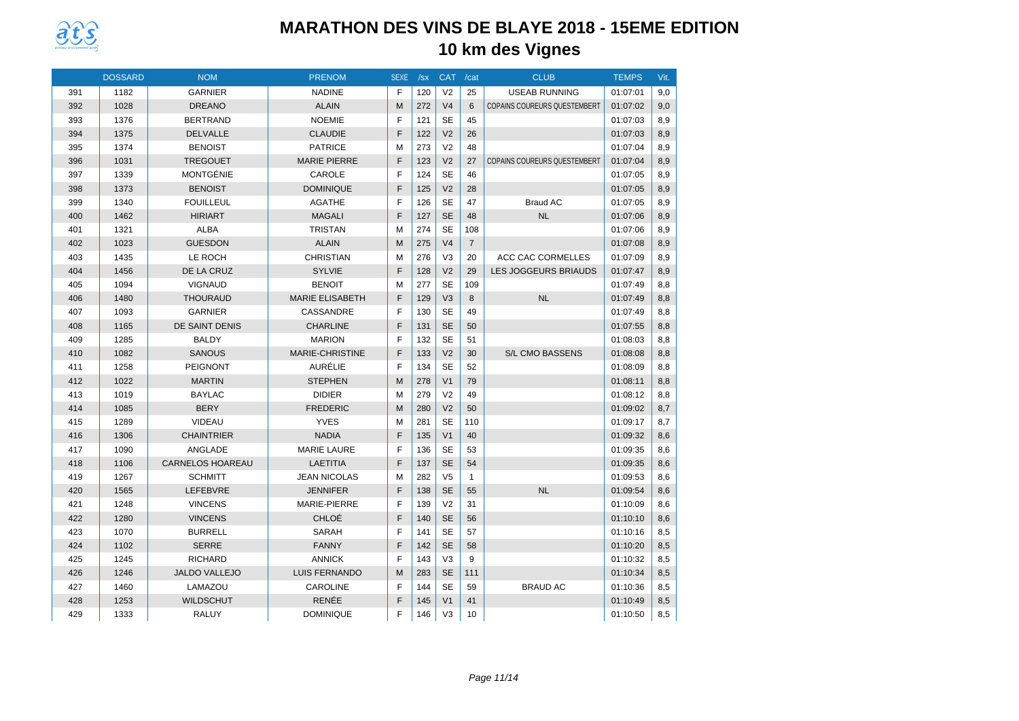

|     | <b>DOSSARD</b> | <b>NOM</b>              | <b>PRENOM</b>          | <b>SEXE</b> | /sx | <b>CAT</b>     | /cat           | <b>CLUB</b>                         | <b>TEMPS</b> | Vit. |
|-----|----------------|-------------------------|------------------------|-------------|-----|----------------|----------------|-------------------------------------|--------------|------|
| 391 | 1182           | <b>GARNIER</b>          | <b>NADINE</b>          | F           | 120 | V <sub>2</sub> | 25             | <b>USEAB RUNNING</b>                | 01:07:01     | 9.0  |
| 392 | 1028           | <b>DREANO</b>           | <b>ALAIN</b>           | M           | 272 | V <sub>4</sub> | 6              | <b>COPAINS COUREURS QUESTEMBERT</b> | 01:07:02     | 9,0  |
| 393 | 1376           | <b>BERTRAND</b>         | <b>NOEMIE</b>          | F           | 121 | <b>SE</b>      | 45             |                                     | 01:07:03     | 8.9  |
| 394 | 1375           | <b>DELVALLE</b>         | <b>CLAUDIE</b>         | F           | 122 | V <sub>2</sub> | 26             |                                     | 01:07:03     | 8,9  |
| 395 | 1374           | <b>BENOIST</b>          | <b>PATRICE</b>         | M           | 273 | V <sub>2</sub> | 48             |                                     | 01:07:04     | 8,9  |
| 396 | 1031           | <b>TREGOUET</b>         | <b>MARIE PIERRE</b>    | F           | 123 | V <sub>2</sub> | 27             | <b>COPAINS COUREURS QUESTEMBERT</b> | 01:07:04     | 8,9  |
| 397 | 1339           | <b>MONTGÉNIE</b>        | CAROLE                 | F           | 124 | <b>SE</b>      | 46             |                                     | 01:07:05     | 8,9  |
| 398 | 1373           | <b>BENOIST</b>          | <b>DOMINIQUE</b>       | F           | 125 | V <sub>2</sub> | 28             |                                     | 01:07:05     | 8,9  |
| 399 | 1340           | <b>FOUILLEUL</b>        | <b>AGATHE</b>          | F           | 126 | <b>SE</b>      | 47             | <b>Braud AC</b>                     | 01:07:05     | 8,9  |
| 400 | 1462           | <b>HIRIART</b>          | <b>MAGALI</b>          | F           | 127 | <b>SE</b>      | 48             | <b>NL</b>                           | 01:07:06     | 8,9  |
| 401 | 1321           | <b>ALBA</b>             | <b>TRISTAN</b>         | M           | 274 | <b>SE</b>      | 108            |                                     | 01:07:06     | 8,9  |
| 402 | 1023           | <b>GUESDON</b>          | <b>ALAIN</b>           | M           | 275 | V <sub>4</sub> | $\overline{7}$ |                                     | 01:07:08     | 8,9  |
| 403 | 1435           | LE ROCH                 | <b>CHRISTIAN</b>       | M           | 276 | V <sub>3</sub> | 20             | ACC CAC CORMELLES                   | 01:07:09     | 8,9  |
| 404 | 1456           | DE LA CRUZ              | <b>SYLVIE</b>          | F           | 128 | V <sub>2</sub> | 29             | LES JOGGEURS BRIAUDS                | 01:07:47     | 8,9  |
| 405 | 1094           | <b>VIGNAUD</b>          | <b>BENOIT</b>          | M           | 277 | <b>SE</b>      | 109            |                                     | 01:07:49     | 8,8  |
| 406 | 1480           | <b>THOURAUD</b>         | <b>MARIE ELISABETH</b> | F           | 129 | V <sub>3</sub> | 8              | <b>NL</b>                           | 01:07:49     | 8,8  |
| 407 | 1093           | <b>GARNIER</b>          | CASSANDRE              | F           | 130 | <b>SE</b>      | 49             |                                     | 01:07:49     | 8,8  |
| 408 | 1165           | <b>DE SAINT DENIS</b>   | <b>CHARLINE</b>        | F           | 131 | <b>SE</b>      | 50             |                                     | 01:07:55     | 8,8  |
| 409 | 1285           | <b>BALDY</b>            | <b>MARION</b>          | F           | 132 | <b>SE</b>      | 51             |                                     | 01:08:03     | 8,8  |
| 410 | 1082           | <b>SANOUS</b>           | <b>MARIE-CHRISTINE</b> | F           | 133 | V <sub>2</sub> | 30             | <b>S/L CMO BASSENS</b>              | 01:08:08     | 8,8  |
| 411 | 1258           | <b>PEIGNONT</b>         | <b>AURÉLIE</b>         | F           | 134 | <b>SE</b>      | 52             |                                     | 01:08:09     | 8,8  |
| 412 | 1022           | <b>MARTIN</b>           | <b>STEPHEN</b>         | M           | 278 | V <sub>1</sub> | 79             |                                     | 01:08:11     | 8,8  |
| 413 | 1019           | <b>BAYLAC</b>           | <b>DIDIER</b>          | M           | 279 | V <sub>2</sub> | 49             |                                     | 01:08:12     | 8,8  |
| 414 | 1085           | <b>BERY</b>             | <b>FREDERIC</b>        | M           | 280 | V <sub>2</sub> | 50             |                                     | 01:09:02     | 8,7  |
| 415 | 1289           | <b>VIDEAU</b>           | <b>YVES</b>            | M           | 281 | <b>SE</b>      | 110            |                                     | 01:09:17     | 8,7  |
| 416 | 1306           | <b>CHAINTRIER</b>       | <b>NADIA</b>           | F           | 135 | V <sub>1</sub> | 40             |                                     | 01:09:32     | 8,6  |
| 417 | 1090           | ANGLADE                 | <b>MARIE LAURE</b>     | F           | 136 | <b>SE</b>      | 53             |                                     | 01:09:35     | 8,6  |
| 418 | 1106           | <b>CARNELOS HOAREAU</b> | <b>LAETITIA</b>        | F           | 137 | <b>SE</b>      | 54             |                                     | 01:09:35     | 8,6  |
| 419 | 1267           | <b>SCHMITT</b>          | <b>JEAN NICOLAS</b>    | M           | 282 | V <sub>5</sub> | $\mathbf{1}$   |                                     | 01:09:53     | 8,6  |
| 420 | 1565           | <b>LEFEBVRE</b>         | <b>JENNIFER</b>        | F           | 138 | <b>SE</b>      | 55             | <b>NL</b>                           | 01:09:54     | 8,6  |
| 421 | 1248           | <b>VINCENS</b>          | MARIE-PIERRE           | F           | 139 | V <sub>2</sub> | 31             |                                     | 01:10:09     | 8,6  |
| 422 | 1280           | <b>VINCENS</b>          | CHLOÉ                  | F           | 140 | <b>SE</b>      | 56             |                                     | 01:10:10     | 8,6  |
| 423 | 1070           | <b>BURRELL</b>          | <b>SARAH</b>           | F           | 141 | <b>SE</b>      | 57             |                                     | 01:10:16     | 8,5  |
| 424 | 1102           | <b>SERRE</b>            | <b>FANNY</b>           | F           | 142 | <b>SE</b>      | 58             |                                     | 01:10:20     | 8,5  |
| 425 | 1245           | <b>RICHARD</b>          | <b>ANNICK</b>          | F           | 143 | V <sub>3</sub> | 9              |                                     | 01:10:32     | 8,5  |
| 426 | 1246           | <b>JALDO VALLEJO</b>    | <b>LUIS FERNANDO</b>   | M           | 283 | <b>SE</b>      | 111            |                                     | 01:10:34     | 8,5  |
| 427 | 1460           | LAMAZOU                 | CAROLINE               | F           | 144 | <b>SE</b>      | 59             | <b>BRAUD AC</b>                     | 01:10:36     | 8,5  |
| 428 | 1253           | <b>WILDSCHUT</b>        | <b>RENÉE</b>           | F           | 145 | V <sub>1</sub> | 41             |                                     | 01:10:49     | 8,5  |
| 429 | 1333           | <b>RALUY</b>            | <b>DOMINIQUE</b>       | F           | 146 | V <sub>3</sub> | 10             |                                     | 01:10:50     | 8,5  |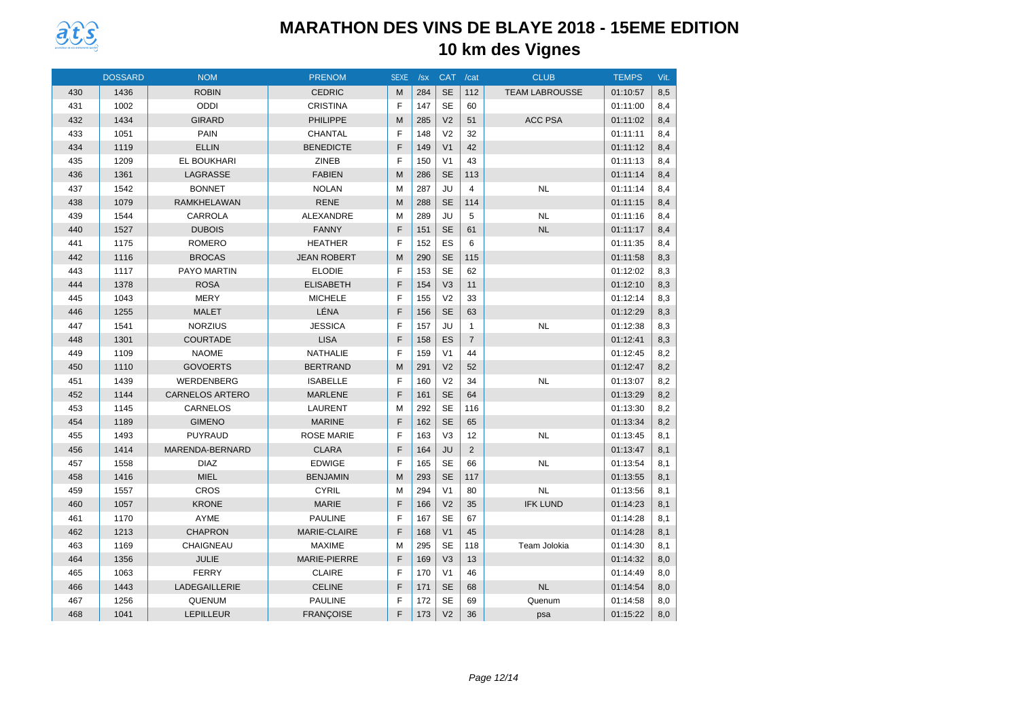

|     | <b>DOSSARD</b> | <b>NOM</b>             | <b>PRENOM</b>      | <b>SEXE</b> | /sx | CAT /cat       |                | <b>CLUB</b>           | <b>TEMPS</b> | Vit. |
|-----|----------------|------------------------|--------------------|-------------|-----|----------------|----------------|-----------------------|--------------|------|
| 430 | 1436           | <b>ROBIN</b>           | <b>CEDRIC</b>      | M           | 284 | <b>SE</b>      | 112            | <b>TEAM LABROUSSE</b> | 01:10:57     | 8,5  |
| 431 | 1002           | <b>ODDI</b>            | <b>CRISTINA</b>    | F           | 147 | <b>SE</b>      | 60             |                       | 01:11:00     | 8,4  |
| 432 | 1434           | <b>GIRARD</b>          | PHILIPPE           | M           | 285 | V <sub>2</sub> | 51             | <b>ACC PSA</b>        | 01:11:02     | 8,4  |
| 433 | 1051           | PAIN                   | CHANTAL            | F           | 148 | V <sub>2</sub> | 32             |                       | 01:11:11     | 8,4  |
| 434 | 1119           | <b>ELLIN</b>           | <b>BENEDICTE</b>   | F           | 149 | V <sub>1</sub> | 42             |                       | 01:11:12     | 8,4  |
| 435 | 1209           | EL BOUKHARI            | <b>ZINEB</b>       | F           | 150 | V <sub>1</sub> | 43             |                       | 01:11:13     | 8,4  |
| 436 | 1361           | LAGRASSE               | <b>FABIEN</b>      | M           | 286 | <b>SE</b>      | 113            |                       | 01:11:14     | 8,4  |
| 437 | 1542           | <b>BONNET</b>          | <b>NOLAN</b>       | M           | 287 | JU             | $\overline{4}$ | <b>NL</b>             | 01:11:14     | 8,4  |
| 438 | 1079           | <b>RAMKHELAWAN</b>     | <b>RENE</b>        | M           | 288 | <b>SE</b>      | 114            |                       | 01:11:15     | 8,4  |
| 439 | 1544           | CARROLA                | ALEXANDRE          | M           | 289 | JU             | 5              | <b>NL</b>             | 01:11:16     | 8,4  |
| 440 | 1527           | <b>DUBOIS</b>          | <b>FANNY</b>       | F           | 151 | <b>SE</b>      | 61             | <b>NL</b>             | 01:11:17     | 8,4  |
| 441 | 1175           | <b>ROMERO</b>          | <b>HEATHER</b>     | F           | 152 | ES             | 6              |                       | 01:11:35     | 8,4  |
| 442 | 1116           | <b>BROCAS</b>          | <b>JEAN ROBERT</b> | M           | 290 | <b>SE</b>      | 115            |                       | 01:11:58     | 8,3  |
| 443 | 1117           | PAYO MARTIN            | <b>ELODIE</b>      | F           | 153 | <b>SE</b>      | 62             |                       | 01:12:02     | 8,3  |
| 444 | 1378           | <b>ROSA</b>            | <b>ELISABETH</b>   | F           | 154 | V <sub>3</sub> | 11             |                       | 01:12:10     | 8,3  |
| 445 | 1043           | <b>MERY</b>            | <b>MICHELE</b>     | F           | 155 | V <sub>2</sub> | 33             |                       | 01:12:14     | 8,3  |
| 446 | 1255           | <b>MALET</b>           | LÉNA               | F           | 156 | <b>SE</b>      | 63             |                       | 01:12:29     | 8,3  |
| 447 | 1541           | <b>NORZIUS</b>         | <b>JESSICA</b>     | F           | 157 | JU             | $\mathbf{1}$   | <b>NL</b>             | 01:12:38     | 8,3  |
| 448 | 1301           | <b>COURTADE</b>        | <b>LISA</b>        | F           | 158 | ES             | $\overline{7}$ |                       | 01:12:41     | 8,3  |
| 449 | 1109           | <b>NAOME</b>           | <b>NATHALIE</b>    | F           | 159 | V <sub>1</sub> | 44             |                       | 01:12:45     | 8,2  |
| 450 | 1110           | <b>GOVOERTS</b>        | <b>BERTRAND</b>    | M           | 291 | V <sub>2</sub> | 52             |                       | 01:12:47     | 8,2  |
| 451 | 1439           | WERDENBERG             | <b>ISABELLE</b>    | F           | 160 | V <sub>2</sub> | 34             | <b>NL</b>             | 01:13:07     | 8,2  |
| 452 | 1144           | <b>CARNELOS ARTERO</b> | <b>MARLENE</b>     | F           | 161 | <b>SE</b>      | 64             |                       | 01:13:29     | 8,2  |
| 453 | 1145           | CARNELOS               | LAURENT            | M           | 292 | <b>SE</b>      | 116            |                       | 01:13:30     | 8,2  |
| 454 | 1189           | <b>GIMENO</b>          | <b>MARINE</b>      | F           | 162 | <b>SE</b>      | 65             |                       | 01:13:34     | 8,2  |
| 455 | 1493           | <b>PUYRAUD</b>         | <b>ROSE MARIE</b>  | F           | 163 | V <sub>3</sub> | 12             | <b>NL</b>             | 01:13:45     | 8,1  |
| 456 | 1414           | MARENDA-BERNARD        | <b>CLARA</b>       | F           | 164 | <b>JU</b>      | 2              |                       | 01:13:47     | 8,1  |
| 457 | 1558           | <b>DIAZ</b>            | <b>EDWIGE</b>      | F           | 165 | <b>SE</b>      | 66             | <b>NL</b>             | 01:13:54     | 8,1  |
| 458 | 1416           | <b>MIEL</b>            | <b>BENJAMIN</b>    | M           | 293 | <b>SE</b>      | 117            |                       | 01:13:55     | 8,1  |
| 459 | 1557           | <b>CROS</b>            | <b>CYRIL</b>       | M           | 294 | V <sub>1</sub> | 80             | <b>NL</b>             | 01:13:56     | 8,1  |
| 460 | 1057           | <b>KRONE</b>           | <b>MARIE</b>       | F           | 166 | V <sub>2</sub> | 35             | <b>IFK LUND</b>       | 01:14:23     | 8,1  |
| 461 | 1170           | <b>AYME</b>            | <b>PAULINE</b>     | F           | 167 | <b>SE</b>      | 67             |                       | 01:14:28     | 8,1  |
| 462 | 1213           | <b>CHAPRON</b>         | MARIE-CLAIRE       | F           | 168 | V <sub>1</sub> | 45             |                       | 01:14:28     | 8,1  |
| 463 | 1169           | CHAIGNEAU              | <b>MAXIME</b>      | M           | 295 | <b>SE</b>      | 118            | Team Jolokia          | 01:14:30     | 8,1  |
| 464 | 1356           | <b>JULIE</b>           | MARIE-PIERRE       | F           | 169 | V <sub>3</sub> | 13             |                       | 01:14:32     | 8,0  |
| 465 | 1063           | <b>FERRY</b>           | <b>CLAIRE</b>      | F           | 170 | V <sub>1</sub> | 46             |                       | 01:14:49     | 8,0  |
| 466 | 1443           | LADEGAILLERIE          | <b>CELINE</b>      | F           | 171 | <b>SE</b>      | 68             | <b>NL</b>             | 01:14:54     | 8,0  |
| 467 | 1256           | <b>QUENUM</b>          | <b>PAULINE</b>     | F           | 172 | <b>SE</b>      | 69             | Quenum                | 01:14:58     | 8,0  |
| 468 | 1041           | <b>LEPILLEUR</b>       | <b>FRANCOISE</b>   | F           | 173 | V <sub>2</sub> | 36             | psa                   | 01:15:22     | 8,0  |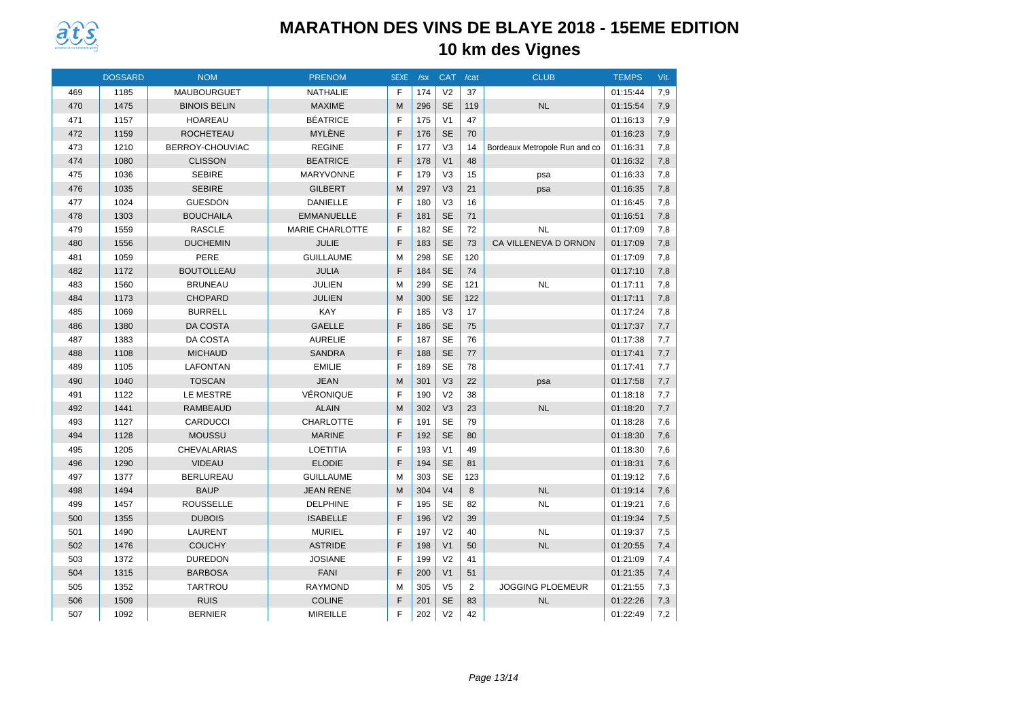

|     | <b>DOSSARD</b> | <b>NOM</b>          | <b>PRENOM</b>          | <b>SEXE</b> | /sx | <b>CAT</b>     | /cat           | <b>CLUB</b>                   | <b>TEMPS</b> | Vit. |
|-----|----------------|---------------------|------------------------|-------------|-----|----------------|----------------|-------------------------------|--------------|------|
| 469 | 1185           | <b>MAUBOURGUET</b>  | <b>NATHALIE</b>        | E           | 174 | V <sub>2</sub> | 37             |                               | 01:15:44     | 7,9  |
| 470 | 1475           | <b>BINOIS BELIN</b> | <b>MAXIME</b>          | M           | 296 | <b>SE</b>      | 119            | <b>NL</b>                     | 01:15:54     | 7,9  |
| 471 | 1157           | <b>HOAREAU</b>      | <b>BÉATRICE</b>        | E           | 175 | V <sub>1</sub> | 47             |                               | 01:16:13     | 7,9  |
| 472 | 1159           | <b>ROCHETEAU</b>    | MYLÈNE                 | F           | 176 | <b>SE</b>      | 70             |                               | 01:16:23     | 7,9  |
| 473 | 1210           | BERROY-CHOUVIAC     | <b>REGINE</b>          | E           | 177 | V <sub>3</sub> | 14             | Bordeaux Metropole Run and co | 01:16:31     | 7,8  |
| 474 | 1080           | <b>CLISSON</b>      | <b>BEATRICE</b>        | E           | 178 | V <sub>1</sub> | 48             |                               | 01:16:32     | 7,8  |
| 475 | 1036           | <b>SEBIRE</b>       | <b>MARYVONNE</b>       | F           | 179 | V <sub>3</sub> | 15             | psa                           | 01:16:33     | 7,8  |
| 476 | 1035           | <b>SEBIRE</b>       | <b>GILBERT</b>         | M           | 297 | V <sub>3</sub> | 21             | psa                           | 01:16:35     | 7,8  |
| 477 | 1024           | <b>GUESDON</b>      | <b>DANIELLE</b>        | E           | 180 | V <sub>3</sub> | 16             |                               | 01:16:45     | 7,8  |
| 478 | 1303           | <b>BOUCHAILA</b>    | <b>EMMANUELLE</b>      | F           | 181 | <b>SE</b>      | 71             |                               | 01:16:51     | 7,8  |
| 479 | 1559           | <b>RASCLE</b>       | <b>MARIE CHARLOTTE</b> | F           | 182 | <b>SE</b>      | 72             | <b>NL</b>                     | 01:17:09     | 7,8  |
| 480 | 1556           | <b>DUCHEMIN</b>     | JULIE                  | F           | 183 | <b>SE</b>      | 73             | CA VILLENEVA D ORNON          | 01:17:09     | 7,8  |
| 481 | 1059           | PERE                | <b>GUILLAUME</b>       | M           | 298 | <b>SE</b>      | 120            |                               | 01:17:09     | 7.8  |
| 482 | 1172           | <b>BOUTOLLEAU</b>   | <b>JULIA</b>           | F           | 184 | <b>SE</b>      | 74             |                               | 01:17:10     | 7,8  |
| 483 | 1560           | <b>BRUNEAU</b>      | <b>JULIEN</b>          | M           | 299 | <b>SE</b>      | 121            | <b>NL</b>                     | 01:17:11     | 7,8  |
| 484 | 1173           | <b>CHOPARD</b>      | <b>JULIEN</b>          | M           | 300 | <b>SE</b>      | 122            |                               | 01:17:11     | 7,8  |
| 485 | 1069           | <b>BURRELL</b>      | <b>KAY</b>             | E           | 185 | V <sub>3</sub> | 17             |                               | 01:17:24     | 7,8  |
| 486 | 1380           | <b>DA COSTA</b>     | <b>GAELLE</b>          | F           | 186 | <b>SE</b>      | 75             |                               | 01:17:37     | 7,7  |
| 487 | 1383           | DA COSTA            | <b>AURELIE</b>         | F           | 187 | <b>SE</b>      | 76             |                               | 01:17:38     | 7,7  |
| 488 | 1108           | <b>MICHAUD</b>      | <b>SANDRA</b>          | F           | 188 | <b>SE</b>      | 77             |                               | 01:17:41     | 7,7  |
| 489 | 1105           | <b>LAFONTAN</b>     | <b>EMILIE</b>          | F           | 189 | <b>SE</b>      | 78             |                               | 01:17:41     | 7,7  |
| 490 | 1040           | <b>TOSCAN</b>       | <b>JEAN</b>            | M           | 301 | V <sub>3</sub> | 22             | psa                           | 01:17:58     | 7,7  |
| 491 | 1122           | LE MESTRE           | VÉRONIQUE              | F           | 190 | V <sub>2</sub> | 38             |                               | 01:18:18     | 7,7  |
| 492 | 1441           | <b>RAMBEAUD</b>     | <b>ALAIN</b>           | M           | 302 | V <sub>3</sub> | 23             | <b>NL</b>                     | 01:18:20     | 7,7  |
| 493 | 1127           | <b>CARDUCCI</b>     | CHARLOTTE              | F           | 191 | <b>SE</b>      | 79             |                               | 01:18:28     | 7,6  |
| 494 | 1128           | <b>MOUSSU</b>       | <b>MARINE</b>          | F           | 192 | <b>SE</b>      | 80             |                               | 01:18:30     | 7,6  |
| 495 | 1205           | CHEVALARIAS         | <b>LOETITIA</b>        | F           | 193 | V <sub>1</sub> | 49             |                               | 01:18:30     | 7,6  |
| 496 | 1290           | <b>VIDEAU</b>       | <b>ELODIE</b>          | F           | 194 | <b>SE</b>      | 81             |                               | 01:18:31     | 7,6  |
| 497 | 1377           | <b>BERLUREAU</b>    | <b>GUILLAUME</b>       | M           | 303 | <b>SE</b>      | 123            |                               | 01:19:12     | 7,6  |
| 498 | 1494           | <b>BAUP</b>         | <b>JEAN RENE</b>       | M           | 304 | V <sub>4</sub> | 8              | NL                            | 01:19:14     | 7,6  |
| 499 | 1457           | <b>ROUSSELLE</b>    | <b>DELPHINE</b>        | E           | 195 | <b>SE</b>      | 82             | <b>NL</b>                     | 01:19:21     | 7.6  |
| 500 | 1355           | <b>DUBOIS</b>       | <b>ISABELLE</b>        | F           | 196 | V <sub>2</sub> | 39             |                               | 01:19:34     | 7,5  |
| 501 | 1490           | <b>LAURENT</b>      | <b>MURIEL</b>          | F           | 197 | V <sub>2</sub> | 40             | <b>NL</b>                     | 01:19:37     | 7,5  |
| 502 | 1476           | <b>COUCHY</b>       | <b>ASTRIDE</b>         | F           | 198 | V <sub>1</sub> | 50             | NL                            | 01:20:55     | 7,4  |
| 503 | 1372           | <b>DUREDON</b>      | <b>JOSIANE</b>         | E           | 199 | V <sub>2</sub> | 41             |                               | 01:21:09     | 7,4  |
| 504 | 1315           | <b>BARBOSA</b>      | FANI                   | F           | 200 | V <sub>1</sub> | 51             |                               | 01:21:35     | 7,4  |
| 505 | 1352           | <b>TARTROU</b>      | <b>RAYMOND</b>         | M           | 305 | V <sub>5</sub> | $\overline{2}$ | <b>JOGGING PLOEMEUR</b>       | 01:21:55     | 7,3  |
| 506 | 1509           | <b>RUIS</b>         | <b>COLINE</b>          | F           | 201 | <b>SE</b>      | 83             | NL                            | 01:22:26     | 7,3  |
| 507 | 1092           | <b>BERNIER</b>      | <b>MIREILLE</b>        | F           | 202 | V <sub>2</sub> | 42             |                               | 01:22:49     | 7,2  |